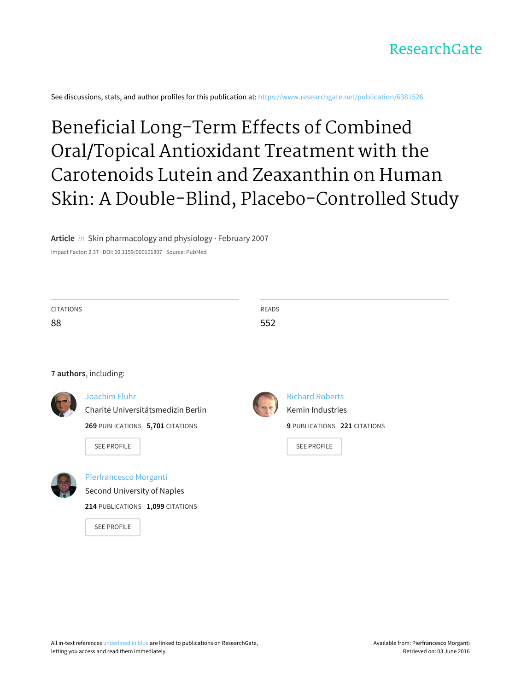### ResearchGate

See discussions, stats, and author profiles for this publication at: [https://www.researchgate.net/publication/6381526](https://www.researchgate.net/publication/6381526_Beneficial_Long-Term_Effects_of_Combined_OralTopical_Antioxidant_Treatment_with_the_Carotenoids_Lutein_and_Zeaxanthin_on_Human_Skin_A_Double-Blind_Placebo-Controlled_Study?enrichId=rgreq-ec6fe430-4f7b-47ed-bfa7-745540431ed9&enrichSource=Y292ZXJQYWdlOzYzODE1MjY7QVM6OTc0NjgzODU1OTUzOTlAMTQwMDI0OTY4MjQyOA%3D%3D&el=1_x_2)

# Beneficial Long-Term Effects of Combined Oral/Topical Antioxidant Treatment with the Carotenoids Lutein and Zeaxanthin on Human Skin: A Double-Blind, [Placebo-Controlled](https://www.researchgate.net/publication/6381526_Beneficial_Long-Term_Effects_of_Combined_OralTopical_Antioxidant_Treatment_with_the_Carotenoids_Lutein_and_Zeaxanthin_on_Human_Skin_A_Double-Blind_Placebo-Controlled_Study?enrichId=rgreq-ec6fe430-4f7b-47ed-bfa7-745540431ed9&enrichSource=Y292ZXJQYWdlOzYzODE1MjY7QVM6OTc0NjgzODU1OTUzOTlAMTQwMDI0OTY4MjQyOA%3D%3D&el=1_x_3) Study

**Article** in Skin pharmacology and physiology · February 2007

Impact Factor: 2.37 · DOI: 10.1159/000101807 · Source: PubMed

| <b>CITATIONS</b><br>88 |                                                                                                               | <b>READS</b><br>552                                                                              |  |  |  |  |  |  |
|------------------------|---------------------------------------------------------------------------------------------------------------|--------------------------------------------------------------------------------------------------|--|--|--|--|--|--|
|                        | 7 authors, including:                                                                                         |                                                                                                  |  |  |  |  |  |  |
|                        | Joachim Fluhr<br>Charité Universitätsmedizin Berlin<br>269 PUBLICATIONS 5,701 CITATIONS<br><b>SEE PROFILE</b> | <b>Richard Roberts</b><br>Kemin Industries<br>9 PUBLICATIONS 221 CITATIONS<br><b>SEE PROFILE</b> |  |  |  |  |  |  |
|                        | Pierfrancesco Morganti<br>Second University of Naples<br>214 PUBLICATIONS 1,099 CITATIONS                     |                                                                                                  |  |  |  |  |  |  |

SEE [PROFILE](https://www.researchgate.net/profile/Pierfrancesco_Morganti?enrichId=rgreq-ec6fe430-4f7b-47ed-bfa7-745540431ed9&enrichSource=Y292ZXJQYWdlOzYzODE1MjY7QVM6OTc0NjgzODU1OTUzOTlAMTQwMDI0OTY4MjQyOA%3D%3D&el=1_x_7)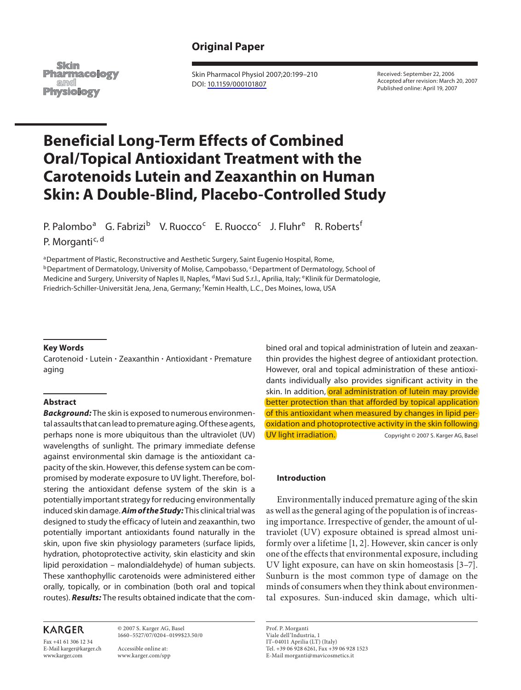### **Original Paper**

Skin **Pharmacology** amd Physiology

 Skin Pharmacol Physiol 2007;20:199–210 DOI: [10.1159/000101807](http://dx.doi.org/10.1159%2F000101807)

 Received: September 22, 2006 Accepted after revision: March 20, 2007 Published online: April 19, 2007

## **Beneficial Long-Term Effects of Combined Oral/Topical Antioxidant Treatment with the Carotenoids Lutein and Zeaxanthin on Human Skin: A Double-Blind, Placebo-Controlled Study**

P. Palombo<sup>a</sup> G. Fabrizi<sup>b</sup> V. Ruocco<sup>c</sup> E. Ruocco<sup>c</sup> J. Fluhr<sup>e</sup> R. Roberts<sup>f</sup>

P. Morganti<sup>c, d</sup>

<sup>a</sup> Department of Plastic, Reconstructive and Aesthetic Surgery, Saint Eugenio Hospital, Rome, <sup>b</sup> Department of Dermatology, University of Molise, Campobasso, <sup>c</sup> Department of Dermatology, School of Medicine and Surgery, University of Naples II, Naples, <sup>d</sup> Mavi Sud S.r.l., Aprilia, Italy; <sup>e</sup> Klinik für Dermatologie, Friedrich-Schiller-Universität Jena, Jena, Germany; <sup>f</sup>Kemin Health, L.C., Des Moines, Iowa, USA

#### **Key Words**

Carotenoid · Lutein · Zeaxanthin · Antioxidant · Premature aging

#### **Abstract**

 *Background:* The skin is exposed to numerous environmental assaults that can lead to premature aging. Of these agents, perhaps none is more ubiquitous than the ultraviolet (UV) wavelengths of sunlight. The primary immediate defense against environmental skin damage is the antioxidant capacity of the skin. However, this defense system can be compromised by moderate exposure to UV light. Therefore, bolstering the antioxidant defense system of the skin is a potentially important strategy for reducing environmentally induced skin damage. *Aim of the Study:* This clinical trial was designed to study the efficacy of lutein and zeaxanthin, two potentially important antioxidants found naturally in the skin, upon five skin physiology parameters (surface lipids, hydration, photoprotective activity, skin elasticity and skin lipid peroxidation – malondialdehyde) of human subjects. These xanthophyllic carotenoids were administered either orally, topically, or in combination (both oral and topical routes). *Results:* The results obtained indicate that the com-

#### **KARGER**

Fax +41 61 306 12 34 E-Mail karger@karger.ch www.karger.com

 © 2007 S. Karger AG, Basel 1660–5527/07/0204–0199\$23.50/0

 Accessible online at: www.karger.com/spp

bined oral and topical administration of lutein and zeaxanthin provides the highest degree of antioxidant protection. However, oral and topical administration of these antioxidants individually also provides significant activity in the skin. In addition, oral administration of lutein may provide better protection than that afforded by topical application of this antioxidant when measured by changes in lipid peroxidation and photoprotective activity in the skin following UV light irradiation. Copyright © 2007 S. Karger AG, Basel

#### **Introduction**

 Environmentally induced premature aging of the skin as well as the general aging of the population is of increasing importance. Irrespective of gender, the amount of ultraviolet (UV) exposure obtained is spread almost uniformly over a lifetime [1, 2]. However, skin cancer is only one of the effects that environmental exposure, including UV light exposure, can have on skin homeostasis [3–7] . Sunburn is the most common type of damage on the minds of consumers when they think about environmental exposures. Sun-induced skin damage, which ulti-

 Prof. P. Morganti Viale dell'Industria, 1 IT–04011 Aprilia (LT) (Italy) Tel. +39 06 928 6261, Fax +39 06 928 1523 E-Mail morganti@mavicosmetics.it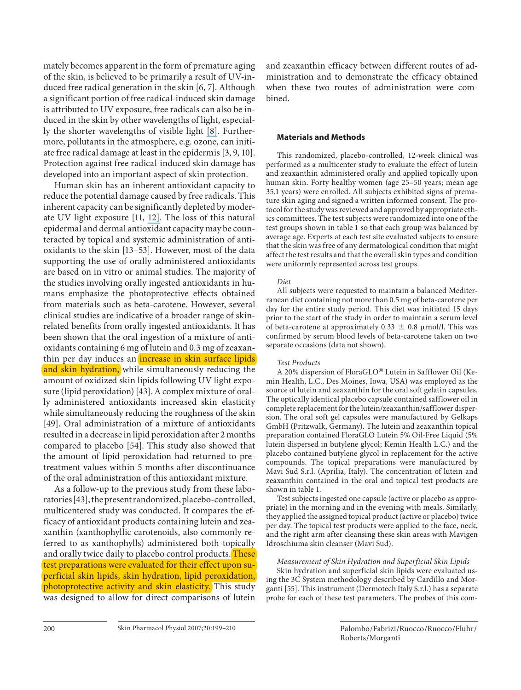mately becomes apparent in the form of premature aging of the skin, is believed to be primarily a result of UV-induced free radical generation in the skin [6, 7]. Although a significant portion of free radical-induced skin damage is attributed to UV exposure, free radicals can also be induced in the skin by other wavelengths of light, especial-ly the shorter wavelengths of visible light [\[8\]](https://www.researchgate.net/publication/14310823_Photoaging_of_the_Connective_Tissue_of_Skin_Its_Prevention_and_Therapy?el=1_x_8&enrichId=rgreq-ec6fe430-4f7b-47ed-bfa7-745540431ed9&enrichSource=Y292ZXJQYWdlOzYzODE1MjY7QVM6OTc0NjgzODU1OTUzOTlAMTQwMDI0OTY4MjQyOA==). Furthermore, pollutants in the atmosphere, e.g. ozone, can initiate free radical damage at least in the epidermis [3, 9, 10] . Protection against free radical-induced skin damage has developed into an important aspect of skin protection.

 Human skin has an inherent antioxidant capacity to reduce the potential damage caused by free radicals. This inherent capacity can be significantly depleted by moderate UV light exposure [11, 12]. The loss of this natural epidermal and dermal antioxidant capacity may be counteracted by topical and systemic administration of antioxidants to the skin [13–53] . However, most of the data supporting the use of orally administered antioxidants are based on in vitro or animal studies. The majority of the studies involving orally ingested antioxidants in humans emphasize the photoprotective effects obtained from materials such as beta-carotene. However, several clinical studies are indicative of a broader range of skinrelated benefits from orally ingested antioxidants. It has been shown that the oral ingestion of a mixture of antioxidants containing 6 mg of lutein and 0.3 mg of zeaxanthin per day induces an *increase in skin surface lipids* and skin hydration, while simultaneously reducing the amount of oxidized skin lipids following UV light exposure (lipid peroxidation) [43] . A complex mixture of orally administered antioxidants increased skin elasticity while simultaneously reducing the roughness of the skin [49]. Oral administration of a mixture of antioxidants resulted in a decrease in lipid peroxidation after 2 months compared to placebo [54]. This study also showed that the amount of lipid peroxidation had returned to pretreatment values within 5 months after discontinuance of the oral administration of this antioxidant mixture.

 As a follow-up to the previous study from these laboratories [43] , the present randomized, placebo-controlled, multicentered study was conducted. It compares the efficacy of antioxidant products containing lutein and zeaxanthin (xanthophyllic carotenoids, also commonly referred to as xanthophylls) administered both topically and orally twice daily to placebo control products. These test preparations were evaluated for their effect upon superficial skin lipids, skin hydration, lipid peroxidation, photoprotective activity and skin elasticity. This study was designed to allow for direct comparisons of lutein

and zeaxanthin efficacy between different routes of administration and to demonstrate the efficacy obtained when these two routes of administration were combined.

#### **Materials and Methods**

 This randomized, placebo-controlled, 12-week clinical was performed as a multicenter study to evaluate the effect of lutein and zeaxanthin administered orally and applied topically upon human skin. Forty healthy women (age 25–50 years; mean age 35.1 years) were enrolled. All subjects exhibited signs of premature skin aging and signed a written informed consent. The protocol for the study was reviewed and approved by appropriate ethics committees. The test subjects were randomized into one of the test groups shown in table 1 so that each group was balanced by average age. Experts at each test site evaluated subjects to ensure that the skin was free of any dermatological condition that might affect the test results and that the overall skin types and condition were uniformly represented across test groups.

#### *Diet*

 All subjects were requested to maintain a balanced Mediterranean diet containing not more than 0.5 mg of beta-carotene per day for the entire study period. This diet was initiated 15 days prior to the start of the study in order to maintain a serum level of beta-carotene at approximately 0.33  $\pm$  0.8  $\mu$ mol/l. This was confirmed by serum blood levels of beta-carotene taken on two separate occasions (data not shown).

#### *Test Products*

A 20% dispersion of FloraGLO® Lutein in Safflower Oil (Kemin Health, L.C., Des Moines, Iowa, USA) was employed as the source of lutein and zeaxanthin for the oral soft gelatin capsules. The optically identical placebo capsule contained safflower oil in complete replacement for the lutein/zeaxanthin/safflower dispersion. The oral soft gel capsules were manufactured by Gelkaps GmbH (Pritzwalk, Germany). The lutein and zeaxanthin topical preparation contained FloraGLO Lutein 5% Oil-Free Liquid (5% lutein dispersed in butylene glycol; Kemin Health L.C.) and the placebo contained butylene glycol in replacement for the active compounds. The topical preparations were manufactured by Mavi Sud S.r.l. (Aprilia, Italy). The concentration of lutein and zeaxanthin contained in the oral and topical test products are shown in table 1.

 Test subjects ingested one capsule (active or placebo as appropriate) in the morning and in the evening with meals. Similarly, they applied the assigned topical product (active or placebo) twice per day. The topical test products were applied to the face, neck, and the right arm after cleansing these skin areas with Mavigen I droschiuma skin cleanser (Mavi Sud).

 *Measurement of Skin Hydration and Superficial Skin Lipids*  Skin hydration and superficial skin lipids were evaluated using the 3C System methodology described by Cardillo and Morganti [55] . This instrument (Dermotech Italy S.r.l.) has a separate probe for each of these test parameters. The probes of this com-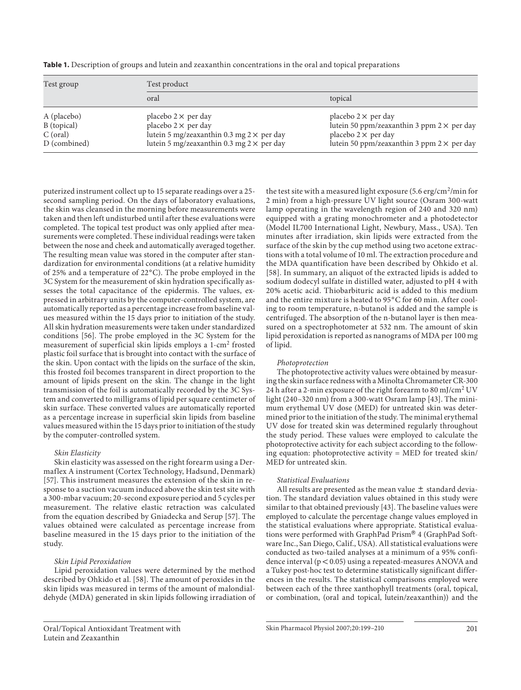| Table 1. Description of groups and lutein and zeaxanthin concentrations in the oral and topical preparations |  |  |  |  |
|--------------------------------------------------------------------------------------------------------------|--|--|--|--|
|--------------------------------------------------------------------------------------------------------------|--|--|--|--|

| Test group   | Test product                                     |                                                   |  |  |  |  |  |  |  |
|--------------|--------------------------------------------------|---------------------------------------------------|--|--|--|--|--|--|--|
|              | oral                                             | topical                                           |  |  |  |  |  |  |  |
| A (placebo)  | placebo $2 \times$ per day                       | placebo $2 \times$ per day                        |  |  |  |  |  |  |  |
| B (topical)  | placebo $2 \times$ per day                       | lutein 50 ppm/zeaxanthin 3 ppm $2 \times$ per day |  |  |  |  |  |  |  |
| $C$ (oral)   | lutein 5 mg/zeaxanthin 0.3 mg $2 \times$ per day | placebo $2 \times$ per day                        |  |  |  |  |  |  |  |
| D (combined) | lutein 5 mg/zeaxanthin 0.3 mg $2 \times$ per day | lutein 50 ppm/zeaxanthin 3 ppm $2 \times$ per day |  |  |  |  |  |  |  |

of lipid.

 *Photoprotection* 

puterized instrument collect up to 15 separate readings over a 25 second sampling period. On the days of laboratory evaluations, the skin was cleansed in the morning before measurements were taken and then left undisturbed until after these evaluations were completed. The topical test product was only applied after measurements were completed. These individual readings were taken between the nose and cheek and automatically averaged together. The resulting mean value was stored in the computer after standardization for environmental conditions (at a relative humidity of 25% and a temperature of 22 ° C). The probe employed in the 3C System for the measurement of skin hydration specifically assesses the total capacitance of the epidermis. The values, expressed in arbitrary units by the computer-controlled system, are automatically reported as a percentage increase from baseline values measured within the 15 days prior to initiation of the study. All skin hydration measurements were taken under standardized conditions [56]. The probe employed in the 3C System for the measurement of superficial skin lipids employs a 1-cm<sup>2</sup> frosted plastic foil surface that is brought into contact with the surface of the skin. Upon contact with the lipids on the surface of the skin, this frosted foil becomes transparent in direct proportion to the amount of lipids present on the skin. The change in the light transmission of the foil is automatically recorded by the 3C System and converted to milligrams of lipid per square centimeter of skin surface. These converted values are automatically reported as a percentage increase in superficial skin lipids from baseline values measured within the 15 days prior to initiation of the study by the computer-controlled system.

#### *Skin Elasticity*

 Skin elasticity was assessed on the right forearm using a Dermaflex A instrument (Cortex Technology, Hadsund, Denmark) [57]. This instrument measures the extension of the skin in response to a suction vacuum induced above the skin test site with a 300-mbar vacuum; 20-second exposure period and 5 cycles per measurement. The relative elastic retraction was calculated from the equation described by Gniadecka and Serup [57] . The values obtained were calculated as percentage increase from baseline measured in the 15 days prior to the initiation of the study.

#### *Skin Lipid Peroxidation*

 Lipid peroxidation values were determined by the method described by Ohkido et al. [58] . The amount of peroxides in the skin lipids was measured in terms of the amount of malondialdehyde (MDA) generated in skin lipids following irradiation of

 Oral/Topical Antioxidant Treatment with Lutein and Zeaxanthin

the study period. These values were employed to calculate the photoprotective activity for each subject according to the following equation: photoprotective activity = MED for treated skin/ MED for untreated skin.  *Statistical Evaluations*  All results are presented as the mean value  $\pm$  standard deviation. The standard deviation values obtained in this study were similar to that obtained previously [43] . The baseline values were employed to calculate the percentage change values employed in

 The photoprotective activity values were obtained by measuring the skin surface redness with a Minolta Chromameter CR-300 24 h after a 2-min exposure of the right forearm to 80 mJ/cm<sup>2</sup> UV light (240–320 nm) from a 300-watt Osram lamp [43]. The minimum erythemal UV dose (MED) for untreated skin was determined prior to the initiation of the study. The minimal erythemal UV dose for treated skin was determined regularly throughout

the test site with a measured light exposure  $(5.6 \text{ erg/cm}^2/\text{min}$  for 2 min) from a high-pressure UV light source (Osram 300-watt lamp operating in the wavelength region of 240 and 320 nm) equipped with a grating monochrometer and a photodetector (Model IL700 International Light, Newbury, Mass., USA). Ten minutes after irradiation, skin lipids were extracted from the surface of the skin by the cup method using two acetone extractions with a total volume of 10 ml. The extraction procedure and the MDA quantification have been described by Ohkido et al. [58]. In summary, an aliquot of the extracted lipids is added to sodium dodecyl sulfate in distilled water, adjusted to pH 4 with 20% acetic acid. Thiobarbituric acid is added to this medium and the entire mixture is heated to 95°C for 60 min. After cooling to room temperature, n-butanol is added and the sample is centrifuged. The absorption of the n-butanol layer is then measured on a spectrophotometer at 532 nm. The amount of skin lipid peroxidation is reported as nanograms of MDA per 100 mg

the statistical evaluations where appropriate. Statistical evaluations were performed with GraphPad Prism® 4 (GraphPad Software Inc., San Diego, Calif., USA). All statistical evaluations were conducted as two-tailed analyses at a minimum of a 95% confidence interval ( $p < 0.05$ ) using a repeated-measures ANOVA and a Tukey post-hoc test to determine statistically significant differences in the results. The statistical comparisons employed were between each of the three xanthophyll treatments (oral, topical, or combination, (oral and topical, lutein/zeaxanthin)) and the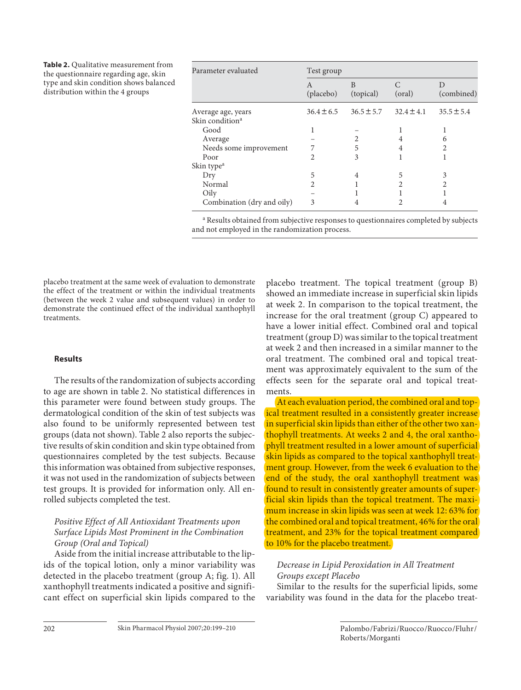**Table 2.** Qualitative measurement from the questionnaire regarding age, skin type and skin condition shows balanced distribution within the 4 groups

| Parameter evaluated         | Test group     |                |                |                 |  |  |  |  |  |  |  |
|-----------------------------|----------------|----------------|----------------|-----------------|--|--|--|--|--|--|--|
|                             | A<br>(placebo) | B<br>(topical) | (oral)         | D<br>(combined) |  |  |  |  |  |  |  |
| Average age, years          | $36.4 \pm 6.5$ | $36.5 \pm 5.7$ | $32.4 \pm 4.1$ | $35.5 \pm 5.4$  |  |  |  |  |  |  |  |
| Skin condition <sup>a</sup> |                |                |                |                 |  |  |  |  |  |  |  |
| Good                        |                |                |                |                 |  |  |  |  |  |  |  |
| Average                     |                |                | 4              | 6               |  |  |  |  |  |  |  |
| Needs some improvement      |                | 5              | 4              |                 |  |  |  |  |  |  |  |
| Poor                        | 2              | 3              |                |                 |  |  |  |  |  |  |  |
| Skin type <sup>a</sup>      |                |                |                |                 |  |  |  |  |  |  |  |
| Dry                         | 5              | 4              | 5              | 3               |  |  |  |  |  |  |  |
| Normal                      | 2.             |                | 2              |                 |  |  |  |  |  |  |  |
| Oily                        |                |                |                |                 |  |  |  |  |  |  |  |
| Combination (dry and oily)  | 3              |                |                |                 |  |  |  |  |  |  |  |

<sup>a</sup> Results obtained from subjective responses to questionnaires completed by subjects and not employed in the randomization process.

placebo treatment at the same week of evaluation to demonstrate the effect of the treatment or within the individual treatments (between the week 2 value and subsequent values) in order to demonstrate the continued effect of the individual xanthophyll treatments.

#### **Results**

 The results of the randomization of subjects according to age are shown in table 2. No statistical differences in this parameter were found between study groups. The dermatological condition of the skin of test subjects was also found to be uniformly represented between test groups (data not shown). Table 2 also reports the subjective results of skin condition and skin type obtained from questionnaires completed by the test subjects. Because this information was obtained from subjective responses, it was not used in the randomization of subjects between test groups. It is provided for information only. All enrolled subjects completed the test.

#### *Positive Effect of All Antioxidant Treatments upon Surface Lipids Most Prominent in the Combination Group (Oral and Topical)*

 Aside from the initial increase attributable to the lipids of the topical lotion, only a minor variability was detected in the placebo treatment (group A; fig. 1). All xanthophyll treatments indicated a positive and significant effect on superficial skin lipids compared to the placebo treatment. The topical treatment (group B) showed an immediate increase in superficial skin lipids at week 2. In comparison to the topical treatment, the increase for the oral treatment (group C) appeared to have a lower initial effect. Combined oral and topical treatment (group D) was similar to the topical treatment at week 2 and then increased in a similar manner to the oral treatment. The combined oral and topical treatment was approximately equivalent to the sum of the effects seen for the separate oral and topical treatments.

 At each evaluation period, the combined oral and topical treatment resulted in a consistently greater increase in superficial skin lipids than either of the other two xanthophyll treatments. At weeks 2 and 4, the oral xanthophyll treatment resulted in a lower amount of superficial skin lipids as compared to the topical xanthophyll treatment group. However, from the week 6 evaluation to the end of the study, the oral xanthophyll treatment was found to result in consistently greater amounts of superficial skin lipids than the topical treatment. The maximum increase in skin lipids was seen at week 12: 63% for the combined oral and topical treatment, 46% for the oral treatment, and 23% for the topical treatment compared to 10% for the placebo treatment.

#### *Decrease in Lipid Peroxidation in All Treatment Groups except Placebo*

 Similar to the results for the superficial lipids, some variability was found in the data for the placebo treat-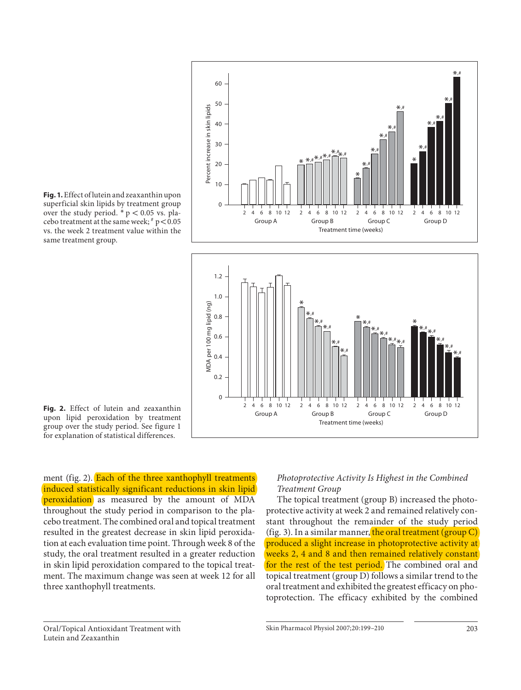

 **Fig. 1.** Effect of lutein and zeaxanthin upon superficial skin lipids by treatment group over the study period.  $* p < 0.05$  vs. placebo treatment at the same week;  $p \nless 0.05$ vs. the week 2 treatment value within the same treatment group.



ment (fig. 2). Each of the three xanthophyll treatments induced statistically significant reductions in skin lipid peroxidation as measured by the amount of MDA throughout the study period in comparison to the placebo treatment. The combined oral and topical treatment resulted in the greatest decrease in skin lipid peroxidation at each evaluation time point. Through week 8 of the study, the oral treatment resulted in a greater reduction in skin lipid peroxidation compared to the topical treatment. The maximum change was seen at week 12 for all three xanthophyll treatments.

 $\Omega$ 

0.2

2 4 6 8 10 12 Group A

#### *Photoprotective Activity Is Highest in the Combined Treatment Group*

2 4 6 8 10 12 Group C

2 4 6 8 10 12 Group D

 The topical treatment (group B) increased the photoprotective activity at week 2 and remained relatively constant throughout the remainder of the study period (fig. 3). In a similar manner, the oral treatment (group  $C$ ) produced a slight increase in photoprotective activity at weeks 2, 4 and 8 and then remained relatively constant for the rest of the test period. The combined oral and topical treatment (group D) follows a similar trend to the oral treatment and exhibited the greatest efficacy on photoprotection. The efficacy exhibited by the combined

2 4 6 8 10 12 Group B

Treatment time (weeks)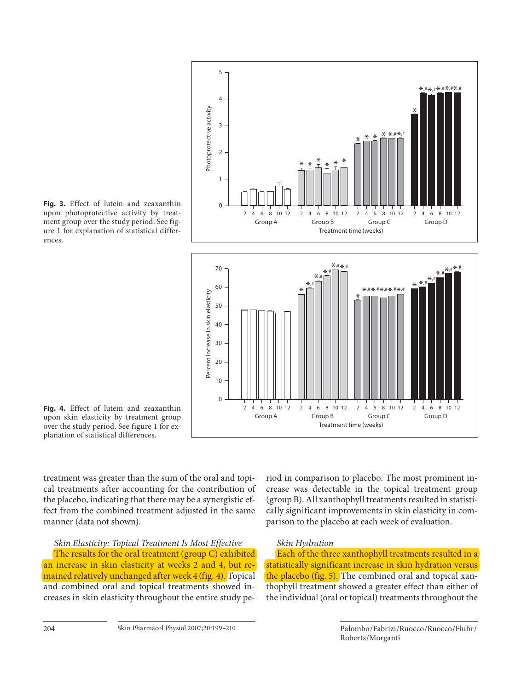

 **Fig. 3.** Effect of lutein and zeaxanthin upon photoprotective activity by treatment group over the study period. See figure 1 for explanation of statistical differences.

 **Fig. 4.** Effect of lutein and zeaxanthin upon skin elasticity by treatment group over the study period. See figure 1 for explanation of statistical differences.

treatment was greater than the sum of the oral and topical treatments after accounting for the contribution of the placebo, indicating that there may be a synergistic effect from the combined treatment adjusted in the same manner (data not shown).

 *Skin Elasticity: Topical Treatment Is Most Effective*  The results for the oral treatment (group C) exhibited an increase in skin elasticity at weeks 2 and 4, but remained relatively unchanged after week 4 (fig. 4). Topical and combined oral and topical treatments showed increases in skin elasticity throughout the entire study period in comparison to placebo. The most prominent increase was detectable in the topical treatment group (group B). All xanthophyll treatments resulted in statistically significant improvements in skin elasticity in comparison to the placebo at each week of evaluation.

#### *Skin Hydration*

Each of the three xanthophyll treatments resulted in a statistically significant increase in skin hydration versus the placebo (fig. 5). The combined oral and topical xanthophyll treatment showed a greater effect than either of the individual (oral or topical) treatments throughout the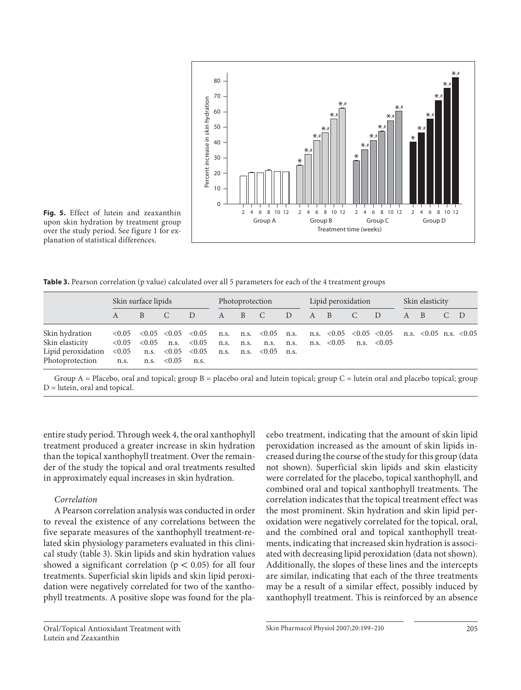

 **Fig. 5.** Effect of lutein and zeaxanthin upon skin hydration by treatment group over the study period. See figure 1 for explanation of statistical differences.

**Table 3.** Pearson correlation (p value) calculated over all 5 parameters for each of the 4 treatment groups

|                                                                                                                                                            | Skin surface lipids |  |               | Photoprotection                                                                                                                                                                                                                                                                                                                                                                                                                                 |              |                  | Lipid peroxidation |        |             |  | Skin elasticity |     |     |  |  |  |
|------------------------------------------------------------------------------------------------------------------------------------------------------------|---------------------|--|---------------|-------------------------------------------------------------------------------------------------------------------------------------------------------------------------------------------------------------------------------------------------------------------------------------------------------------------------------------------------------------------------------------------------------------------------------------------------|--------------|------------------|--------------------|--------|-------------|--|-----------------|-----|-----|--|--|--|
|                                                                                                                                                            | $A \qquad \qquad$   |  | $\mathcal{C}$ | $\angle D$                                                                                                                                                                                                                                                                                                                                                                                                                                      | $\mathsf{A}$ | $\overline{B}$ C |                    | $\Box$ | $A \quad B$ |  | $\overline{C}$  | - D | A B |  |  |  |
| Skin hydration<br>Skin elasticity<br>Lipid peroxidation $< 0.05$ n.s. $< 0.05$ $< 0.05$ n.s. n.s. $< 0.05$ n.s.<br>Photoprotection n.s. n.s. $< 0.05$ n.s. | < 0.05              |  |               | $\langle 0.05 \rangle$ $\langle 0.05 \rangle$ $\langle 0.05 \rangle$ $\langle 0.05 \rangle$ n.s. $\langle 0.05 \rangle$ n.s. $\langle 0.05 \rangle$ $\langle 0.05 \rangle$ n.s. $\langle 0.05 \rangle$ n.s. $\langle 0.05 \rangle$ n.s. $\langle 0.05 \rangle$ n.s. $\langle 0.05 \rangle$<br>$\langle 0.05 \quad n.s. \quad \langle 0.05 \quad n.s. \quad n.s. \quad n.s. \quad n.s. \quad \langle 0.05 \quad n.s. \quad \langle 0.05 \rangle$ |              |                  |                    |        |             |  |                 |     |     |  |  |  |

Group  $A =$  Placebo, oral and topical; group  $B =$  placebo oral and lutein topical; group  $C =$  lutein oral and placebo topical; group D = lutein, oral and topical.

entire study period. Through week 4, the oral xanthophyll treatment produced a greater increase in skin hydration than the topical xanthophyll treatment. Over the remainder of the study the topical and oral treatments resulted in approximately equal increases in skin hydration.

#### *Correlation*

 A Pearson correlation analysis was conducted in order to reveal the existence of any correlations between the five separate measures of the xanthophyll treatment-related skin physiology parameters evaluated in this clinical study (table 3). Skin lipids and skin hydration values showed a significant correlation ( $p < 0.05$ ) for all four treatments. Superficial skin lipids and skin lipid peroxidation were negatively correlated for two of the xanthophyll treatments. A positive slope was found for the pla-

 Oral/Topical Antioxidant Treatment with Lutein and Zeaxanthin

cebo treatment, indicating that the amount of skin lipid peroxidation increased as the amount of skin lipids increased during the course of the study for this group (data not shown). Superficial skin lipids and skin elasticity were correlated for the placebo, topical xanthophyll, and combined oral and topical xanthophyll treatments. The correlation indicates that the topical treatment effect was the most prominent. Skin hydration and skin lipid peroxidation were negatively correlated for the topical, oral, and the combined oral and topical xanthophyll treatments, indicating that increased skin hydration is associated with decreasing lipid peroxidation (data not shown). Additionally, the slopes of these lines and the intercepts are similar, indicating that each of the three treatments may be a result of a similar effect, possibly induced by xanthophyll treatment. This is reinforced by an absence

Skin Pharmacol Physiol 2007;20:199-210 205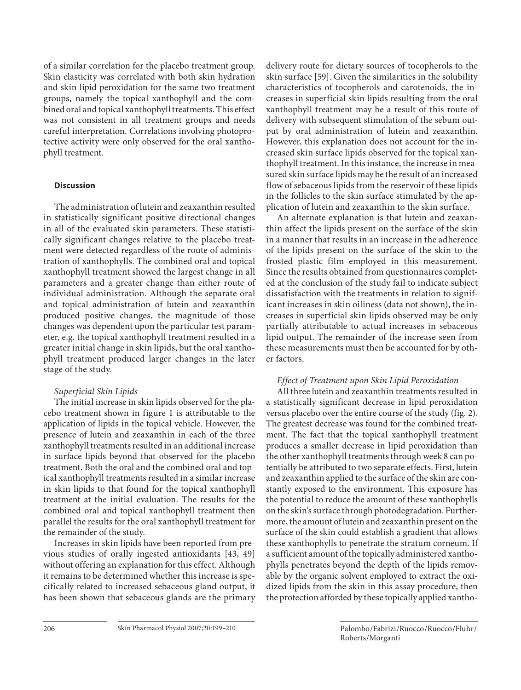of a similar correlation for the placebo treatment group. Skin elasticity was correlated with both skin hydration and skin lipid peroxidation for the same two treatment groups, namely the topical xanthophyll and the combined oral and topical xanthophyll treatments. This effect was not consistent in all treatment groups and needs careful interpretation. Correlations involving photoprotective activity were only observed for the oral xanthophyll treatment.

#### **Discussion**

 The administration of lutein and zeaxanthin resulted in statistically significant positive directional changes in all of the evaluated skin parameters. These statistically significant changes relative to the placebo treatment were detected regardless of the route of administration of xanthophylls. The combined oral and topical xanthophyll treatment showed the largest change in all parameters and a greater change than either route of individual administration. Although the separate oral and topical administration of lutein and zeaxanthin produced positive changes, the magnitude of those changes was dependent upon the particular test parameter, e.g. the topical xanthophyll treatment resulted in a greater initial change in skin lipids, but the oral xanthophyll treatment produced larger changes in the later stage of the study.

#### *Superficial Skin Lipids*

 The initial increase in skin lipids observed for the placebo treatment shown in figure 1 is attributable to the application of lipids in the topical vehicle. However, the presence of lutein and zeaxanthin in each of the three xanthophyll treatments resulted in an additional increase in surface lipids beyond that observed for the placebo treatment. Both the oral and the combined oral and topical xanthophyll treatments resulted in a similar increase in skin lipids to that found for the topical xanthophyll treatment at the initial evaluation. The results for the combined oral and topical xanthophyll treatment then parallel the results for the oral xanthophyll treatment for the remainder of the study.

 Increases in skin lipids have been reported from previous studies of orally ingested antioxidants [43, 49] without offering an explanation for this effect. Although it remains to be determined whether this increase is specifically related to increased sebaceous gland output, it has been shown that sebaceous glands are the primary delivery route for dietary sources of tocopherols to the skin surface [59]. Given the similarities in the solubility characteristics of tocopherols and carotenoids, the increases in superficial skin lipids resulting from the oral xanthophyll treatment may be a result of this route of delivery with subsequent stimulation of the sebum output by oral administration of lutein and zeaxanthin. However, this explanation does not account for the increased skin surface lipids observed for the topical xanthophyll treatment. In this instance, the increase in measured skin surface lipids may be the result of an increased flow of sebaceous lipids from the reservoir of these lipids in the follicles to the skin surface stimulated by the application of lutein and zeaxanthin to the skin surface.

 An alternate explanation is that lutein and zeaxanthin affect the lipids present on the surface of the skin in a manner that results in an increase in the adherence of the lipids present on the surface of the skin to the frosted plastic film employed in this measurement. Since the results obtained from questionnaires completed at the conclusion of the study fail to indicate subject dissatisfaction with the treatments in relation to significant increases in skin oiliness (data not shown), the increases in superficial skin lipids observed may be only partially attributable to actual increases in sebaceous lipid output. The remainder of the increase seen from these measurements must then be accounted for by other factors.

#### *Effect of Treatment upon Skin Lipid Peroxidation*

 All three lutein and zeaxanthin treatments resulted in a statistically significant decrease in lipid peroxidation versus placebo over the entire course of the study (fig. 2). The greatest decrease was found for the combined treatment. The fact that the topical xanthophyll treatment produces a smaller decrease in lipid peroxidation than the other xanthophyll treatments through week 8 can potentially be attributed to two separate effects. First, lutein and zeaxanthin applied to the surface of the skin are constantly exposed to the environment. This exposure has the potential to reduce the amount of these xanthophylls on the skin's surface through photodegradation. Furthermore, the amount of lutein and zeaxanthin present on the surface of the skin could establish a gradient that allows these xanthophylls to penetrate the stratum corneum. If a sufficient amount of the topically administered xanthophylls penetrates beyond the depth of the lipids removable by the organic solvent employed to extract the oxidized lipids from the skin in this assay procedure, then the protection afforded by these topically applied xantho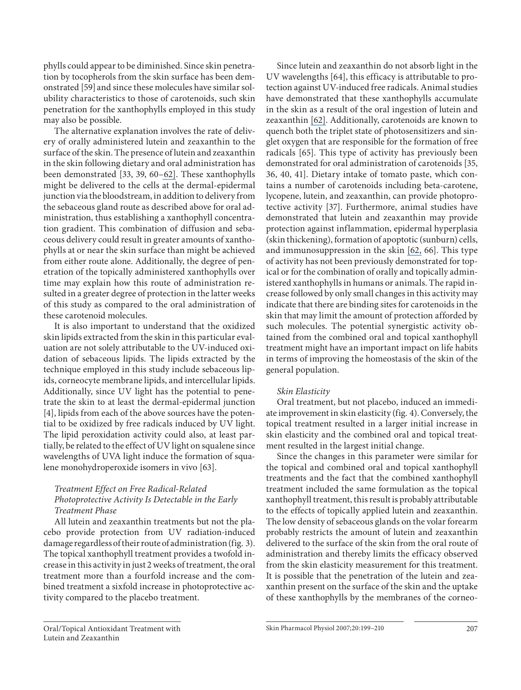phylls could appear to be diminished. Since skin penetration by tocopherols from the skin surface has been demonstrated [59] and since these molecules have similar solubility characteristics to those of carotenoids, such skin penetration for the xanthophylls employed in this study may also be possible.

 The alternative explanation involves the rate of delivery of orally administered lutein and zeaxanthin to the surface of the skin. The presence of lutein and zeaxanthin in the skin following dietary and oral administration has been demonstrated [33, 39, 60-62]. These xanthophylls might be delivered to the cells at the dermal-epidermal junction via the bloodstream, in addition to delivery from the sebaceous gland route as described above for oral administration, thus establishing a xanthophyll concentration gradient. This combination of diffusion and sebaceous delivery could result in greater amounts of xanthophylls at or near the skin surface than might be achieved from either route alone. Additionally, the degree of penetration of the topically administered xanthophylls over time may explain how this route of administration resulted in a greater degree of protection in the latter weeks of this study as compared to the oral administration of these carotenoid molecules.

 It is also important to understand that the oxidized skin lipids extracted from the skin in this particular evaluation are not solely attributable to the UV-induced oxidation of sebaceous lipids. The lipids extracted by the technique employed in this study include sebaceous lipids, corneocyte membrane lipids, and intercellular lipids. Additionally, since UV light has the potential to penetrate the skin to at least the dermal-epidermal junction [4], lipids from each of the above sources have the potential to be oxidized by free radicals induced by UV light. The lipid peroxidation activity could also, at least partially, be related to the effect of UV light on squalene since wavelengths of UVA light induce the formation of squalene monohydroperoxide isomers in vivo [63] .

#### *Treatment Effect on Free Radical-Related Photoprotective Activity Is Detectable in the Early Treatment Phase*

 All lutein and zeaxanthin treatments but not the placebo provide protection from UV radiation-induced damage regardless of their route of administration (fig. 3). The topical xanthophyll treatment provides a twofold increase in this activity in just 2 weeks of treatment, the oral treatment more than a fourfold increase and the combined treatment a sixfold increase in photoprotective activity compared to the placebo treatment.

 Since lutein and zeaxanthin do not absorb light in the UV wavelengths [64], this efficacy is attributable to protection against UV-induced free radicals. Animal studies have demonstrated that these xanthophylls accumulate in the skin as a result of the oral ingestion of lutein and zeaxanthin [62]. Additionally, carotenoids are known to quench both the triplet state of photosensitizers and singlet oxygen that are responsible for the formation of free radicals [65]. This type of activity has previously been demonstrated for oral administration of carotenoids [35, 36, 40, 41] . Dietary intake of tomato paste, which contains a number of carotenoids including beta-carotene, lycopene, lutein, and zeaxanthin, can provide photoprotective activity [37]. Furthermore, animal studies have demonstrated that lutein and zeaxanthin may provide protection against inflammation, epidermal hyperplasia (skin thickening), formation of apoptotic (sunburn) cells, and immunosuppression in the skin  $[62, 66]$  $[62, 66]$ . This type of activity has not been previously demonstrated for topical or for the combination of orally and topically administered xanthophylls in humans or animals. The rapid increase followed by only small changes in this activity may indicate that there are binding sites for carotenoids in the skin that may limit the amount of protection afforded by such molecules. The potential synergistic activity obtained from the combined oral and topical xanthophyll treatment might have an important impact on life habits in terms of improving the homeostasis of the skin of the general population.

#### *Skin Elasticity*

 Oral treatment, but not placebo, induced an immediate improvement in skin elasticity (fig. 4). Conversely, the topical treatment resulted in a larger initial increase in skin elasticity and the combined oral and topical treatment resulted in the largest initial change.

 Since the changes in this parameter were similar for the topical and combined oral and topical xanthophyll treatments and the fact that the combined xanthophyll treatment included the same formulation as the topical xanthophyll treatment, this result is probably attributable to the effects of topically applied lutein and zeaxanthin. The low density of sebaceous glands on the volar forearm probably restricts the amount of lutein and zeaxanthin delivered to the surface of the skin from the oral route of administration and thereby limits the efficacy observed from the skin elasticity measurement for this treatment. It is possible that the penetration of the lutein and zeaxanthin present on the surface of the skin and the uptake of these xanthophylls by the membranes of the corneo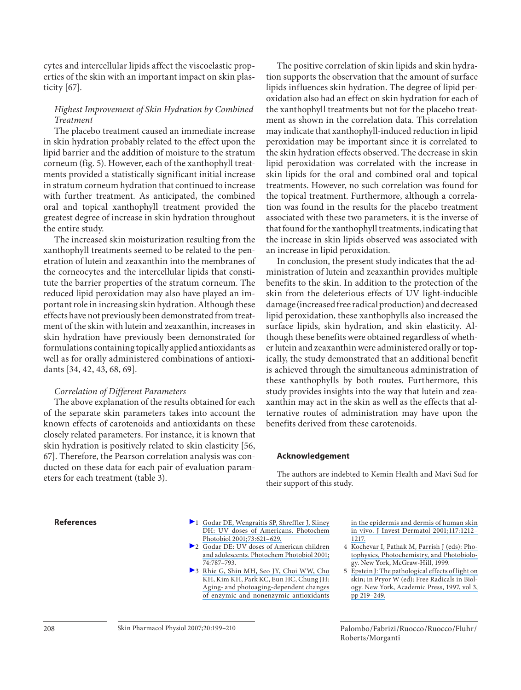cytes and intercellular lipids affect the viscoelastic properties of the skin with an important impact on skin plasticity  $[67]$ .

#### *Highest Improvement of Skin Hydration by Combined Treatment*

 The placebo treatment caused an immediate increase in skin hydration probably related to the effect upon the lipid barrier and the addition of moisture to the stratum corneum (fig. 5). However, each of the xanthophyll treatments provided a statistically significant initial increase in stratum corneum hydration that continued to increase with further treatment. As anticipated, the combined oral and topical xanthophyll treatment provided the greatest degree of increase in skin hydration throughout the entire study.

 The increased skin moisturization resulting from the xanthophyll treatments seemed to be related to the penetration of lutein and zeaxanthin into the membranes of the corneocytes and the intercellular lipids that constitute the barrier properties of the stratum corneum. The reduced lipid peroxidation may also have played an important role in increasing skin hydration. Although these effects have not previously been demonstrated from treatment of the skin with lutein and zeaxanthin, increases in skin hydration have previously been demonstrated for formulations containing topically applied antioxidants as well as for orally administered combinations of antioxidants [34, 42, 43, 68, 69].

#### *Correlation of Different Parameters*

 The above explanation of the results obtained for each of the separate skin parameters takes into account the known effects of carotenoids and antioxidants on these closely related parameters. For instance, it is known that skin hydration is positively related to skin elasticity [56, 67]. Therefore, the Pearson correlation analysis was conducted on these data for each pair of evaluation parameters for each treatment (table 3).

 The positive correlation of skin lipids and skin hydration supports the observation that the amount of surface lipids influences skin hydration. The degree of lipid peroxidation also had an effect on skin hydration for each of the xanthophyll treatments but not for the placebo treatment as shown in the correlation data. This correlation may indicate that xanthophyll-induced reduction in lipid peroxidation may be important since it is correlated to the skin hydration effects observed. The decrease in skin lipid peroxidation was correlated with the increase in skin lipids for the oral and combined oral and topical treatments. However, no such correlation was found for the topical treatment. Furthermore, although a correlation was found in the results for the placebo treatment associated with these two parameters, it is the inverse of that found for the xanthophyll treatments, indicating that the increase in skin lipids observed was associated with an increase in lipid peroxidation.

 In conclusion, the present study indicates that the administration of lutein and zeaxanthin provides multiple benefits to the skin. In addition to the protection of the skin from the deleterious effects of UV light-inducible damage (increased free radical production) and decreased lipid peroxidation, these xanthophylls also increased the surface lipids, skin hydration, and skin elasticity. Although these benefits were obtained regardless of whether lutein and zeaxanthin were administered orally or topically, the study demonstrated that an additional benefit is achieved through the simultaneous administration of these xanthophylls by both routes. Furthermore, this study provides insights into the way that lutein and zeaxanthin may act in the skin as well as the effects that alternative routes of administration may have upon the benefits derived from these carotenoids.

#### **Acknowledgement**

 The authors are indebted to Kemin Health and Mavi Sud for their support of this study.

- **References 1** Godar DE, Wengraitis SP, Shreffler J, Sliney [DH: UV doses of Americans. Photochem](https://www.researchgate.net/publication/11919503_UV_doses_of_American?el=1_x_8&enrichId=rgreq-ec6fe430-4f7b-47ed-bfa7-745540431ed9&enrichSource=Y292ZXJQYWdlOzYzODE1MjY7QVM6OTc0NjgzODU1OTUzOTlAMTQwMDI0OTY4MjQyOA==)  Photobiol 2001;73:621-629.
	- <sup>2</sup> Godar DE: UV doses of American children [and adolescents. Photochem Photobiol 2001;](https://www.researchgate.net/publication/227913568_UV_Doses_of_American_Children_and_Adolescents?el=1_x_8&enrichId=rgreq-ec6fe430-4f7b-47ed-bfa7-745540431ed9&enrichSource=Y292ZXJQYWdlOzYzODE1MjY7QVM6OTc0NjgzODU1OTUzOTlAMTQwMDI0OTY4MjQyOA==) [74: 787–793.](https://www.researchgate.net/publication/227913568_UV_Doses_of_American_Children_and_Adolescents?el=1_x_8&enrichId=rgreq-ec6fe430-4f7b-47ed-bfa7-745540431ed9&enrichSource=Y292ZXJQYWdlOzYzODE1MjY7QVM6OTc0NjgzODU1OTUzOTlAMTQwMDI0OTY4MjQyOA==)
	- 3 [Rhie G, Shin MH, Seo JY, Choi WW, Cho](https://www.researchgate.net/publication/11644126_Aging-_and_Photoaging-Dependent_Changes_of_Enzymic_and_Nonenzymic_Antioxidants_in_the_Epidermis_and_Dermis_of_Human_Skin_In_Vivo?el=1_x_8&enrichId=rgreq-ec6fe430-4f7b-47ed-bfa7-745540431ed9&enrichSource=Y292ZXJQYWdlOzYzODE1MjY7QVM6OTc0NjgzODU1OTUzOTlAMTQwMDI0OTY4MjQyOA==)  [KH, Kim KH, Park KC, Eun HC, Chung JH:](https://www.researchgate.net/publication/11644126_Aging-_and_Photoaging-Dependent_Changes_of_Enzymic_and_Nonenzymic_Antioxidants_in_the_Epidermis_and_Dermis_of_Human_Skin_In_Vivo?el=1_x_8&enrichId=rgreq-ec6fe430-4f7b-47ed-bfa7-745540431ed9&enrichSource=Y292ZXJQYWdlOzYzODE1MjY7QVM6OTc0NjgzODU1OTUzOTlAMTQwMDI0OTY4MjQyOA==)  [Aging- and photoaging-dependent changes](https://www.researchgate.net/publication/11644126_Aging-_and_Photoaging-Dependent_Changes_of_Enzymic_and_Nonenzymic_Antioxidants_in_the_Epidermis_and_Dermis_of_Human_Skin_In_Vivo?el=1_x_8&enrichId=rgreq-ec6fe430-4f7b-47ed-bfa7-745540431ed9&enrichSource=Y292ZXJQYWdlOzYzODE1MjY7QVM6OTc0NjgzODU1OTUzOTlAMTQwMDI0OTY4MjQyOA==)  [of enzymic and nonenzymic antioxidants](https://www.researchgate.net/publication/11644126_Aging-_and_Photoaging-Dependent_Changes_of_Enzymic_and_Nonenzymic_Antioxidants_in_the_Epidermis_and_Dermis_of_Human_Skin_In_Vivo?el=1_x_8&enrichId=rgreq-ec6fe430-4f7b-47ed-bfa7-745540431ed9&enrichSource=Y292ZXJQYWdlOzYzODE1MjY7QVM6OTc0NjgzODU1OTUzOTlAMTQwMDI0OTY4MjQyOA==)

[in the epidermis and dermis of human skin](https://www.researchgate.net/publication/11644126_Aging-_and_Photoaging-Dependent_Changes_of_Enzymic_and_Nonenzymic_Antioxidants_in_the_Epidermis_and_Dermis_of_Human_Skin_In_Vivo?el=1_x_8&enrichId=rgreq-ec6fe430-4f7b-47ed-bfa7-745540431ed9&enrichSource=Y292ZXJQYWdlOzYzODE1MjY7QVM6OTc0NjgzODU1OTUzOTlAMTQwMDI0OTY4MjQyOA==) [in vivo. J Invest Dermatol 2001; 117: 1212–](https://www.researchgate.net/publication/11644126_Aging-_and_Photoaging-Dependent_Changes_of_Enzymic_and_Nonenzymic_Antioxidants_in_the_Epidermis_and_Dermis_of_Human_Skin_In_Vivo?el=1_x_8&enrichId=rgreq-ec6fe430-4f7b-47ed-bfa7-745540431ed9&enrichSource=Y292ZXJQYWdlOzYzODE1MjY7QVM6OTc0NjgzODU1OTUzOTlAMTQwMDI0OTY4MjQyOA==) [1217.](https://www.researchgate.net/publication/11644126_Aging-_and_Photoaging-Dependent_Changes_of_Enzymic_and_Nonenzymic_Antioxidants_in_the_Epidermis_and_Dermis_of_Human_Skin_In_Vivo?el=1_x_8&enrichId=rgreq-ec6fe430-4f7b-47ed-bfa7-745540431ed9&enrichSource=Y292ZXJQYWdlOzYzODE1MjY7QVM6OTc0NjgzODU1OTUzOTlAMTQwMDI0OTY4MjQyOA==)

- 4 [Kochevar I, Pathak M, Parrish J \(eds\): Pho](https://www.researchgate.net/publication/285426849_Photophysics_photochemistry_and_photobiology?el=1_x_8&enrichId=rgreq-ec6fe430-4f7b-47ed-bfa7-745540431ed9&enrichSource=Y292ZXJQYWdlOzYzODE1MjY7QVM6OTc0NjgzODU1OTUzOTlAMTQwMDI0OTY4MjQyOA==)[tophysics, Photochemistry, and Photobiolo](https://www.researchgate.net/publication/285426849_Photophysics_photochemistry_and_photobiology?el=1_x_8&enrichId=rgreq-ec6fe430-4f7b-47ed-bfa7-745540431ed9&enrichSource=Y292ZXJQYWdlOzYzODE1MjY7QVM6OTc0NjgzODU1OTUzOTlAMTQwMDI0OTY4MjQyOA==)[gy. New York, McGraw-Hill, 1999.](https://www.researchgate.net/publication/285426849_Photophysics_photochemistry_and_photobiology?el=1_x_8&enrichId=rgreq-ec6fe430-4f7b-47ed-bfa7-745540431ed9&enrichSource=Y292ZXJQYWdlOzYzODE1MjY7QVM6OTc0NjgzODU1OTUzOTlAMTQwMDI0OTY4MjQyOA==)
- 5 [Epstein J: The pathological effects of light on](https://www.researchgate.net/publication/290255859_The_Pathological_Effects_of_Light_on_The_Skin?el=1_x_8&enrichId=rgreq-ec6fe430-4f7b-47ed-bfa7-745540431ed9&enrichSource=Y292ZXJQYWdlOzYzODE1MjY7QVM6OTc0NjgzODU1OTUzOTlAMTQwMDI0OTY4MjQyOA==) [skin; in Pryor W \(ed\): Free Radicals in Biol](https://www.researchgate.net/publication/290255859_The_Pathological_Effects_of_Light_on_The_Skin?el=1_x_8&enrichId=rgreq-ec6fe430-4f7b-47ed-bfa7-745540431ed9&enrichSource=Y292ZXJQYWdlOzYzODE1MjY7QVM6OTc0NjgzODU1OTUzOTlAMTQwMDI0OTY4MjQyOA==)[ogy. New York, Academic Press, 1997, vol 3,](https://www.researchgate.net/publication/290255859_The_Pathological_Effects_of_Light_on_The_Skin?el=1_x_8&enrichId=rgreq-ec6fe430-4f7b-47ed-bfa7-745540431ed9&enrichSource=Y292ZXJQYWdlOzYzODE1MjY7QVM6OTc0NjgzODU1OTUzOTlAMTQwMDI0OTY4MjQyOA==) [pp 219–249.](https://www.researchgate.net/publication/290255859_The_Pathological_Effects_of_Light_on_The_Skin?el=1_x_8&enrichId=rgreq-ec6fe430-4f7b-47ed-bfa7-745540431ed9&enrichSource=Y292ZXJQYWdlOzYzODE1MjY7QVM6OTc0NjgzODU1OTUzOTlAMTQwMDI0OTY4MjQyOA==)

 Palombo /Fabrizi /Ruocco /Ruocco /Fluhr / Roberts /Morganti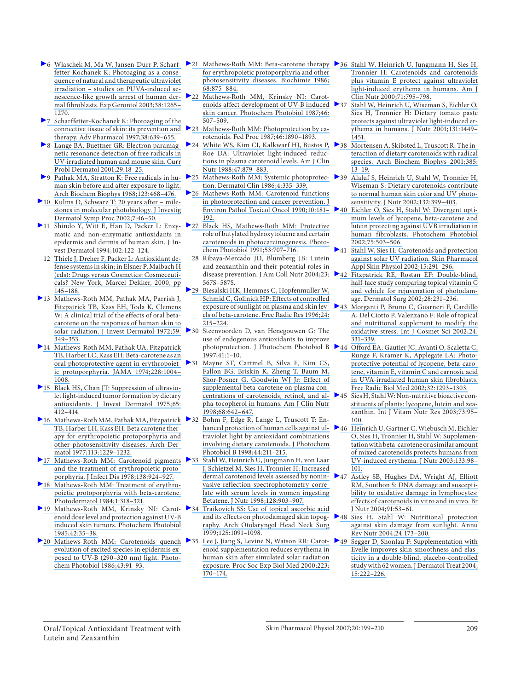- [fetter-Kochanek K: Photoaging as a conse](https://www.researchgate.net/publication/8939164_Wlaschek_M_Ma_W_Jansen-Durr_P_Scharffetter-Kochanek_KPhotoaging_as_a_consequence_of_natural_and_therapeutic_ultraviolet_irradiation-studies_on_PUVA-induced_senescence-like_growth_arrest_of_human_derma?el=1_x_8&enrichId=rgreq-ec6fe430-4f7b-47ed-bfa7-745540431ed9&enrichSource=Y292ZXJQYWdlOzYzODE1MjY7QVM6OTc0NjgzODU1OTUzOTlAMTQwMDI0OTY4MjQyOA==)[quence of natural and therapeutic ultraviolet](https://www.researchgate.net/publication/8939164_Wlaschek_M_Ma_W_Jansen-Durr_P_Scharffetter-Kochanek_KPhotoaging_as_a_consequence_of_natural_and_therapeutic_ultraviolet_irradiation-studies_on_PUVA-induced_senescence-like_growth_arrest_of_human_derma?el=1_x_8&enrichId=rgreq-ec6fe430-4f7b-47ed-bfa7-745540431ed9&enrichSource=Y292ZXJQYWdlOzYzODE1MjY7QVM6OTc0NjgzODU1OTUzOTlAMTQwMDI0OTY4MjQyOA==)  [irradiation – studies on PUVA-induced se](https://www.researchgate.net/publication/8939164_Wlaschek_M_Ma_W_Jansen-Durr_P_Scharffetter-Kochanek_KPhotoaging_as_a_consequence_of_natural_and_therapeutic_ultraviolet_irradiation-studies_on_PUVA-induced_senescence-like_growth_arrest_of_human_derma?el=1_x_8&enrichId=rgreq-ec6fe430-4f7b-47ed-bfa7-745540431ed9&enrichSource=Y292ZXJQYWdlOzYzODE1MjY7QVM6OTc0NjgzODU1OTUzOTlAMTQwMDI0OTY4MjQyOA==)[nescence-like growth arrest of human der](https://www.researchgate.net/publication/8939164_Wlaschek_M_Ma_W_Jansen-Durr_P_Scharffetter-Kochanek_KPhotoaging_as_a_consequence_of_natural_and_therapeutic_ultraviolet_irradiation-studies_on_PUVA-induced_senescence-like_growth_arrest_of_human_derma?el=1_x_8&enrichId=rgreq-ec6fe430-4f7b-47ed-bfa7-745540431ed9&enrichSource=Y292ZXJQYWdlOzYzODE1MjY7QVM6OTc0NjgzODU1OTUzOTlAMTQwMDI0OTY4MjQyOA==)[mal fibroblasts. Exp Gerontol 2003; 38: 1265–](https://www.researchgate.net/publication/8939164_Wlaschek_M_Ma_W_Jansen-Durr_P_Scharffetter-Kochanek_KPhotoaging_as_a_consequence_of_natural_and_therapeutic_ultraviolet_irradiation-studies_on_PUVA-induced_senescence-like_growth_arrest_of_human_derma?el=1_x_8&enrichId=rgreq-ec6fe430-4f7b-47ed-bfa7-745540431ed9&enrichSource=Y292ZXJQYWdlOzYzODE1MjY7QVM6OTc0NjgzODU1OTUzOTlAMTQwMDI0OTY4MjQyOA==) [1270.](https://www.researchgate.net/publication/8939164_Wlaschek_M_Ma_W_Jansen-Durr_P_Scharffetter-Kochanek_KPhotoaging_as_a_consequence_of_natural_and_therapeutic_ultraviolet_irradiation-studies_on_PUVA-induced_senescence-like_growth_arrest_of_human_derma?el=1_x_8&enrichId=rgreq-ec6fe430-4f7b-47ed-bfa7-745540431ed9&enrichSource=Y292ZXJQYWdlOzYzODE1MjY7QVM6OTc0NjgzODU1OTUzOTlAMTQwMDI0OTY4MjQyOA==)
- [7 Scharffetter-Kochanek K: Photoaging of the](https://www.researchgate.net/publication/14310823_Photoaging_of_the_Connective_Tissue_of_Skin_Its_Prevention_and_Therapy?el=1_x_8&enrichId=rgreq-ec6fe430-4f7b-47ed-bfa7-745540431ed9&enrichSource=Y292ZXJQYWdlOzYzODE1MjY7QVM6OTc0NjgzODU1OTUzOTlAMTQwMDI0OTY4MjQyOA==)  [connective tissue of skin: its prevention and](https://www.researchgate.net/publication/14310823_Photoaging_of_the_Connective_Tissue_of_Skin_Its_Prevention_and_Therapy?el=1_x_8&enrichId=rgreq-ec6fe430-4f7b-47ed-bfa7-745540431ed9&enrichSource=Y292ZXJQYWdlOzYzODE1MjY7QVM6OTc0NjgzODU1OTUzOTlAMTQwMDI0OTY4MjQyOA==)  therapy. Adv Pharmacol 1997;38:639-655.
- 8 [Lange BA, Buettner GR: Electron paramag](https://www.researchgate.net/publication/12106648_Electron_paramagnetic_resonance_detection_of_free_radicals_in_UV-irradiated_human_and_mouse_skin?el=1_x_8&enrichId=rgreq-ec6fe430-4f7b-47ed-bfa7-745540431ed9&enrichSource=Y292ZXJQYWdlOzYzODE1MjY7QVM6OTc0NjgzODU1OTUzOTlAMTQwMDI0OTY4MjQyOA==)[netic resonance detection of free radicals in](https://www.researchgate.net/publication/12106648_Electron_paramagnetic_resonance_detection_of_free_radicals_in_UV-irradiated_human_and_mouse_skin?el=1_x_8&enrichId=rgreq-ec6fe430-4f7b-47ed-bfa7-745540431ed9&enrichSource=Y292ZXJQYWdlOzYzODE1MjY7QVM6OTc0NjgzODU1OTUzOTlAMTQwMDI0OTY4MjQyOA==)  [UV-irradiated human and mouse skin. Curr](https://www.researchgate.net/publication/12106648_Electron_paramagnetic_resonance_detection_of_free_radicals_in_UV-irradiated_human_and_mouse_skin?el=1_x_8&enrichId=rgreq-ec6fe430-4f7b-47ed-bfa7-745540431ed9&enrichSource=Y292ZXJQYWdlOzYzODE1MjY7QVM6OTc0NjgzODU1OTUzOTlAMTQwMDI0OTY4MjQyOA==)  Probl Dermatol 2001;29:18-25.
- 9 [Pathak MA, Stratton K: Free radicals in hu](https://www.researchgate.net/publication/18868899_Free_Radicals_in_Human_Skin_before_and_after_Exposure_to_Light?el=1_x_8&enrichId=rgreq-ec6fe430-4f7b-47ed-bfa7-745540431ed9&enrichSource=Y292ZXJQYWdlOzYzODE1MjY7QVM6OTc0NjgzODU1OTUzOTlAMTQwMDI0OTY4MjQyOA==)[man skin before and after exposure to light.](https://www.researchgate.net/publication/18868899_Free_Radicals_in_Human_Skin_before_and_after_Exposure_to_Light?el=1_x_8&enrichId=rgreq-ec6fe430-4f7b-47ed-bfa7-745540431ed9&enrichSource=Y292ZXJQYWdlOzYzODE1MjY7QVM6OTc0NjgzODU1OTUzOTlAMTQwMDI0OTY4MjQyOA==)  [Arch Biochem Biophys 1968; 123: 468–476.](https://www.researchgate.net/publication/18868899_Free_Radicals_in_Human_Skin_before_and_after_Exposure_to_Light?el=1_x_8&enrichId=rgreq-ec6fe430-4f7b-47ed-bfa7-745540431ed9&enrichSource=Y292ZXJQYWdlOzYzODE1MjY7QVM6OTc0NjgzODU1OTUzOTlAMTQwMDI0OTY4MjQyOA==)
- [10 Kulms D, Schwarz T: 20 years after mile](https://www.researchgate.net/publication/10958395_20_Years_After_-_Milestones_in_Molecular_Photobiology?el=1_x_8&enrichId=rgreq-ec6fe430-4f7b-47ed-bfa7-745540431ed9&enrichSource=Y292ZXJQYWdlOzYzODE1MjY7QVM6OTc0NjgzODU1OTUzOTlAMTQwMDI0OTY4MjQyOA==)[stones in molecular photobiology. J Investig](https://www.researchgate.net/publication/10958395_20_Years_After_-_Milestones_in_Molecular_Photobiology?el=1_x_8&enrichId=rgreq-ec6fe430-4f7b-47ed-bfa7-745540431ed9&enrichSource=Y292ZXJQYWdlOzYzODE1MjY7QVM6OTc0NjgzODU1OTUzOTlAMTQwMDI0OTY4MjQyOA==)  [Dermatol Symp Proc 2002; 7: 46–50.](https://www.researchgate.net/publication/10958395_20_Years_After_-_Milestones_in_Molecular_Photobiology?el=1_x_8&enrichId=rgreq-ec6fe430-4f7b-47ed-bfa7-745540431ed9&enrichSource=Y292ZXJQYWdlOzYzODE1MjY7QVM6OTc0NjgzODU1OTUzOTlAMTQwMDI0OTY4MjQyOA==)
- matic and non-enzymatic antioxidants in epidermis and dermis of human skin. J Invest Dermatol 1994; 102: 122–124.
- 12 [Thiele J, Dreher F, Packer L: Antioxidant de](https://www.researchgate.net/publication/297787244_Antioxidant_defense_systems_in_skin_Reprinted_from_Cosmeceuticals_Drugs_vs_cosmetics_pg_145-187_2000?el=1_x_8&enrichId=rgreq-ec6fe430-4f7b-47ed-bfa7-745540431ed9&enrichSource=Y292ZXJQYWdlOzYzODE1MjY7QVM6OTc0NjgzODU1OTUzOTlAMTQwMDI0OTY4MjQyOA==)[fense systems in skin; in Elsner P, Maibach H](https://www.researchgate.net/publication/297787244_Antioxidant_defense_systems_in_skin_Reprinted_from_Cosmeceuticals_Drugs_vs_cosmetics_pg_145-187_2000?el=1_x_8&enrichId=rgreq-ec6fe430-4f7b-47ed-bfa7-745540431ed9&enrichSource=Y292ZXJQYWdlOzYzODE1MjY7QVM6OTc0NjgzODU1OTUzOTlAMTQwMDI0OTY4MjQyOA==)  [\(eds\): Drugs versus Cosmetics: Cosmeceuti](https://www.researchgate.net/publication/297787244_Antioxidant_defense_systems_in_skin_Reprinted_from_Cosmeceuticals_Drugs_vs_cosmetics_pg_145-187_2000?el=1_x_8&enrichId=rgreq-ec6fe430-4f7b-47ed-bfa7-745540431ed9&enrichSource=Y292ZXJQYWdlOzYzODE1MjY7QVM6OTc0NjgzODU1OTUzOTlAMTQwMDI0OTY4MjQyOA==)[cals? New York, Marcel Dekker, 2000, pp](https://www.researchgate.net/publication/297787244_Antioxidant_defense_systems_in_skin_Reprinted_from_Cosmeceuticals_Drugs_vs_cosmetics_pg_145-187_2000?el=1_x_8&enrichId=rgreq-ec6fe430-4f7b-47ed-bfa7-745540431ed9&enrichSource=Y292ZXJQYWdlOzYzODE1MjY7QVM6OTc0NjgzODU1OTUzOTlAMTQwMDI0OTY4MjQyOA==)  [145–188.](https://www.researchgate.net/publication/297787244_Antioxidant_defense_systems_in_skin_Reprinted_from_Cosmeceuticals_Drugs_vs_cosmetics_pg_145-187_2000?el=1_x_8&enrichId=rgreq-ec6fe430-4f7b-47ed-bfa7-745540431ed9&enrichSource=Y292ZXJQYWdlOzYzODE1MjY7QVM6OTc0NjgzODU1OTUzOTlAMTQwMDI0OTY4MjQyOA==)
- [13 Mathews-Roth MM, Pathak MA, Parrish J,](https://www.researchgate.net/publication/18597247_A_clinical_trial_of_the_effects_of_oral_b-carotene_on_the_responses_of_human_skin_to_solar_radiation?el=1_x_8&enrichId=rgreq-ec6fe430-4f7b-47ed-bfa7-745540431ed9&enrichSource=Y292ZXJQYWdlOzYzODE1MjY7QVM6OTc0NjgzODU1OTUzOTlAMTQwMDI0OTY4MjQyOA==)  [Fitzpatrick TB, Kass EH, Toda K, Clemens](https://www.researchgate.net/publication/18597247_A_clinical_trial_of_the_effects_of_oral_b-carotene_on_the_responses_of_human_skin_to_solar_radiation?el=1_x_8&enrichId=rgreq-ec6fe430-4f7b-47ed-bfa7-745540431ed9&enrichSource=Y292ZXJQYWdlOzYzODE1MjY7QVM6OTc0NjgzODU1OTUzOTlAMTQwMDI0OTY4MjQyOA==)  [W: A clinical trial of the effects of oral beta](https://www.researchgate.net/publication/18597247_A_clinical_trial_of_the_effects_of_oral_b-carotene_on_the_responses_of_human_skin_to_solar_radiation?el=1_x_8&enrichId=rgreq-ec6fe430-4f7b-47ed-bfa7-745540431ed9&enrichSource=Y292ZXJQYWdlOzYzODE1MjY7QVM6OTc0NjgzODU1OTUzOTlAMTQwMDI0OTY4MjQyOA==)[carotene on the responses of human skin to](https://www.researchgate.net/publication/18597247_A_clinical_trial_of_the_effects_of_oral_b-carotene_on_the_responses_of_human_skin_to_solar_radiation?el=1_x_8&enrichId=rgreq-ec6fe430-4f7b-47ed-bfa7-745540431ed9&enrichSource=Y292ZXJQYWdlOzYzODE1MjY7QVM6OTc0NjgzODU1OTUzOTlAMTQwMDI0OTY4MjQyOA==)  solar radiation. J Invest Dermatol 1972;59: [349–353.](https://www.researchgate.net/publication/18597247_A_clinical_trial_of_the_effects_of_oral_b-carotene_on_the_responses_of_human_skin_to_solar_radiation?el=1_x_8&enrichId=rgreq-ec6fe430-4f7b-47ed-bfa7-745540431ed9&enrichSource=Y292ZXJQYWdlOzYzODE1MjY7QVM6OTc0NjgzODU1OTUzOTlAMTQwMDI0OTY4MjQyOA==)
- [14 Mathews-Roth MM, Pathak UA, Fitzpatrick](https://www.researchgate.net/publication/18760336_b-Carotene_as_an_Oral_Photoprotective_Agent_in_Erythropoietic_Protoporphyria?el=1_x_8&enrichId=rgreq-ec6fe430-4f7b-47ed-bfa7-745540431ed9&enrichSource=Y292ZXJQYWdlOzYzODE1MjY7QVM6OTc0NjgzODU1OTUzOTlAMTQwMDI0OTY4MjQyOA==)  [TB, Harber LC, Kass EH: Beta-carotene as an](https://www.researchgate.net/publication/18760336_b-Carotene_as_an_Oral_Photoprotective_Agent_in_Erythropoietic_Protoporphyria?el=1_x_8&enrichId=rgreq-ec6fe430-4f7b-47ed-bfa7-745540431ed9&enrichSource=Y292ZXJQYWdlOzYzODE1MjY7QVM6OTc0NjgzODU1OTUzOTlAMTQwMDI0OTY4MjQyOA==)  [oral photoprotective agent in erythropoiet](https://www.researchgate.net/publication/18760336_b-Carotene_as_an_Oral_Photoprotective_Agent_in_Erythropoietic_Protoporphyria?el=1_x_8&enrichId=rgreq-ec6fe430-4f7b-47ed-bfa7-745540431ed9&enrichSource=Y292ZXJQYWdlOzYzODE1MjY7QVM6OTc0NjgzODU1OTUzOTlAMTQwMDI0OTY4MjQyOA==)[ic protoporphyria. JAMA 1974; 228: 1004–](https://www.researchgate.net/publication/18760336_b-Carotene_as_an_Oral_Photoprotective_Agent_in_Erythropoietic_Protoporphyria?el=1_x_8&enrichId=rgreq-ec6fe430-4f7b-47ed-bfa7-745540431ed9&enrichSource=Y292ZXJQYWdlOzYzODE1MjY7QVM6OTc0NjgzODU1OTUzOTlAMTQwMDI0OTY4MjQyOA==) [1008.](https://www.researchgate.net/publication/18760336_b-Carotene_as_an_Oral_Photoprotective_Agent_in_Erythropoietic_Protoporphyria?el=1_x_8&enrichId=rgreq-ec6fe430-4f7b-47ed-bfa7-745540431ed9&enrichSource=Y292ZXJQYWdlOzYzODE1MjY7QVM6OTc0NjgzODU1OTUzOTlAMTQwMDI0OTY4MjQyOA==)
- [15 Black HS, Chan JT: Suppression of ultravio](https://www.researchgate.net/publication/21978445_Suppression_of_ultraviolet_light_induced_tumor_formation_by_dietary_antioxidants?el=1_x_8&enrichId=rgreq-ec6fe430-4f7b-47ed-bfa7-745540431ed9&enrichSource=Y292ZXJQYWdlOzYzODE1MjY7QVM6OTc0NjgzODU1OTUzOTlAMTQwMDI0OTY4MjQyOA==)[let light-induced tumor formation by dietary](https://www.researchgate.net/publication/21978445_Suppression_of_ultraviolet_light_induced_tumor_formation_by_dietary_antioxidants?el=1_x_8&enrichId=rgreq-ec6fe430-4f7b-47ed-bfa7-745540431ed9&enrichSource=Y292ZXJQYWdlOzYzODE1MjY7QVM6OTc0NjgzODU1OTUzOTlAMTQwMDI0OTY4MjQyOA==)  antioxidants. J Invest Dermatol 1975;65: [412–414.](https://www.researchgate.net/publication/21978445_Suppression_of_ultraviolet_light_induced_tumor_formation_by_dietary_antioxidants?el=1_x_8&enrichId=rgreq-ec6fe430-4f7b-47ed-bfa7-745540431ed9&enrichSource=Y292ZXJQYWdlOzYzODE1MjY7QVM6OTc0NjgzODU1OTUzOTlAMTQwMDI0OTY4MjQyOA==)
- [TB, Harber LH, Kass EH: Beta carotene ther](https://www.researchgate.net/publication/22253923_Betacarotene_therapy_for_erythropoietic_protoporphyria_and_other_photosensitive_diseases?el=1_x_8&enrichId=rgreq-ec6fe430-4f7b-47ed-bfa7-745540431ed9&enrichSource=Y292ZXJQYWdlOzYzODE1MjY7QVM6OTc0NjgzODU1OTUzOTlAMTQwMDI0OTY4MjQyOA==)[apy for erythropoietic protoporphyria and](https://www.researchgate.net/publication/22253923_Betacarotene_therapy_for_erythropoietic_protoporphyria_and_other_photosensitive_diseases?el=1_x_8&enrichId=rgreq-ec6fe430-4f7b-47ed-bfa7-745540431ed9&enrichSource=Y292ZXJQYWdlOzYzODE1MjY7QVM6OTc0NjgzODU1OTUzOTlAMTQwMDI0OTY4MjQyOA==)  [other photosensitivity diseases. Arch Der](https://www.researchgate.net/publication/22253923_Betacarotene_therapy_for_erythropoietic_protoporphyria_and_other_photosensitive_diseases?el=1_x_8&enrichId=rgreq-ec6fe430-4f7b-47ed-bfa7-745540431ed9&enrichSource=Y292ZXJQYWdlOzYzODE1MjY7QVM6OTc0NjgzODU1OTUzOTlAMTQwMDI0OTY4MjQyOA==)[matol 1977; 113: 1229–1232.](https://www.researchgate.net/publication/22253923_Betacarotene_therapy_for_erythropoietic_protoporphyria_and_other_photosensitive_diseases?el=1_x_8&enrichId=rgreq-ec6fe430-4f7b-47ed-bfa7-745540431ed9&enrichSource=Y292ZXJQYWdlOzYzODE1MjY7QVM6OTc0NjgzODU1OTUzOTlAMTQwMDI0OTY4MjQyOA==)
- [and the treatment of erythropoietic proto](https://www.researchgate.net/publication/22403477_Carotenoid_Pigments_and_the_Treatment_of_Erythropoietic_Protoporphyria?el=1_x_8&enrichId=rgreq-ec6fe430-4f7b-47ed-bfa7-745540431ed9&enrichSource=Y292ZXJQYWdlOzYzODE1MjY7QVM6OTc0NjgzODU1OTUzOTlAMTQwMDI0OTY4MjQyOA==)[porphyria. J Infect Dis 1978; 138: 924–927.](https://www.researchgate.net/publication/22403477_Carotenoid_Pigments_and_the_Treatment_of_Erythropoietic_Protoporphyria?el=1_x_8&enrichId=rgreq-ec6fe430-4f7b-47ed-bfa7-745540431ed9&enrichSource=Y292ZXJQYWdlOzYzODE1MjY7QVM6OTc0NjgzODU1OTUzOTlAMTQwMDI0OTY4MjQyOA==)
- 18 Mathews-Roth MM: Treatment of erythro[poietic protoporphyria with beta-carotene.](https://www.researchgate.net/publication/16661934_Treatment_of_erythropoietic_protoporphyria_with_beta-carotene?el=1_x_8&enrichId=rgreq-ec6fe430-4f7b-47ed-bfa7-745540431ed9&enrichSource=Y292ZXJQYWdlOzYzODE1MjY7QVM6OTc0NjgzODU1OTUzOTlAMTQwMDI0OTY4MjQyOA==)  Photodermatol 1984;1:318-321.
- [enoid dose level and protection against UV-B](https://www.researchgate.net/publication/19103301_Carotenoid_dose_level_and_protection_against_UV-B_induced_skin_tumors?el=1_x_8&enrichId=rgreq-ec6fe430-4f7b-47ed-bfa7-745540431ed9&enrichSource=Y292ZXJQYWdlOzYzODE1MjY7QVM6OTc0NjgzODU1OTUzOTlAMTQwMDI0OTY4MjQyOA==)  [induced skin tumors. Photochem Photobiol](https://www.researchgate.net/publication/19103301_Carotenoid_dose_level_and_protection_against_UV-B_induced_skin_tumors?el=1_x_8&enrichId=rgreq-ec6fe430-4f7b-47ed-bfa7-745540431ed9&enrichSource=Y292ZXJQYWdlOzYzODE1MjY7QVM6OTc0NjgzODU1OTUzOTlAMTQwMDI0OTY4MjQyOA==)  [1985; 42: 35–38.](https://www.researchgate.net/publication/19103301_Carotenoid_dose_level_and_protection_against_UV-B_induced_skin_tumors?el=1_x_8&enrichId=rgreq-ec6fe430-4f7b-47ed-bfa7-745540431ed9&enrichSource=Y292ZXJQYWdlOzYzODE1MjY7QVM6OTc0NjgzODU1OTUzOTlAMTQwMDI0OTY4MjQyOA==)
- [evolution of excited species in epidermis ex](https://www.researchgate.net/publication/19210106_Mathews-Roth_MM_Carotenoids_quench_evolution_of_excited_species_in_epidermis_exposed_to_UV-B_290-320_nm_light_Photochem_Photobiol43_91-93?el=1_x_8&enrichId=rgreq-ec6fe430-4f7b-47ed-bfa7-745540431ed9&enrichSource=Y292ZXJQYWdlOzYzODE1MjY7QVM6OTc0NjgzODU1OTUzOTlAMTQwMDI0OTY4MjQyOA==)[posed to UV-B \(290–320 nm\) light. Photo](https://www.researchgate.net/publication/19210106_Mathews-Roth_MM_Carotenoids_quench_evolution_of_excited_species_in_epidermis_exposed_to_UV-B_290-320_nm_light_Photochem_Photobiol43_91-93?el=1_x_8&enrichId=rgreq-ec6fe430-4f7b-47ed-bfa7-745540431ed9&enrichSource=Y292ZXJQYWdlOzYzODE1MjY7QVM6OTc0NjgzODU1OTUzOTlAMTQwMDI0OTY4MjQyOA==)chem Photobiol 1986;43:91-93.
- 6 [Wlaschek M, Ma W, Jansen-Durr P, Scharf-](https://www.researchgate.net/publication/8939164_Wlaschek_M_Ma_W_Jansen-Durr_P_Scharffetter-Kochanek_KPhotoaging_as_a_consequence_of_natural_and_therapeutic_ultraviolet_irradiation-studies_on_PUVA-induced_senescence-like_growth_arrest_of_human_derma?el=1_x_8&enrichId=rgreq-ec6fe430-4f7b-47ed-bfa7-745540431ed9&enrichSource=Y292ZXJQYWdlOzYzODE1MjY7QVM6OTc0NjgzODU1OTUzOTlAMTQwMDI0OTY4MjQyOA==) [21 Mathews-Roth MM: Beta-carotene therapy](https://www.researchgate.net/publication/20063166_Beta_Carotene_Therapy_for_Erythropoietic_Protoporphyria_and_Other_Photosensitivity_Diseases?el=1_x_8&enrichId=rgreq-ec6fe430-4f7b-47ed-bfa7-745540431ed9&enrichSource=Y292ZXJQYWdlOzYzODE1MjY7QVM6OTc0NjgzODU1OTUzOTlAMTQwMDI0OTY4MjQyOA==)  [for erythropoietic protoporphyria and other](https://www.researchgate.net/publication/20063166_Beta_Carotene_Therapy_for_Erythropoietic_Protoporphyria_and_Other_Photosensitivity_Diseases?el=1_x_8&enrichId=rgreq-ec6fe430-4f7b-47ed-bfa7-745540431ed9&enrichSource=Y292ZXJQYWdlOzYzODE1MjY7QVM6OTc0NjgzODU1OTUzOTlAMTQwMDI0OTY4MjQyOA==)  [photosensitivity diseases. Biochimie 1986;](https://www.researchgate.net/publication/20063166_Beta_Carotene_Therapy_for_Erythropoietic_Protoporphyria_and_Other_Photosensitivity_Diseases?el=1_x_8&enrichId=rgreq-ec6fe430-4f7b-47ed-bfa7-745540431ed9&enrichSource=Y292ZXJQYWdlOzYzODE1MjY7QVM6OTc0NjgzODU1OTUzOTlAMTQwMDI0OTY4MjQyOA==) [68: 875–884.](https://www.researchgate.net/publication/20063166_Beta_Carotene_Therapy_for_Erythropoietic_Protoporphyria_and_Other_Photosensitivity_Diseases?el=1_x_8&enrichId=rgreq-ec6fe430-4f7b-47ed-bfa7-745540431ed9&enrichSource=Y292ZXJQYWdlOzYzODE1MjY7QVM6OTc0NjgzODU1OTUzOTlAMTQwMDI0OTY4MjQyOA==)
	- 22 Mathews-Roth MM, Krinsky NI: Carot[enoids affect development of UV-B induced](https://www.researchgate.net/publication/20034522_Carotenoids_affect_development_of_UV-B_induced_skin_cancer?el=1_x_8&enrichId=rgreq-ec6fe430-4f7b-47ed-bfa7-745540431ed9&enrichSource=Y292ZXJQYWdlOzYzODE1MjY7QVM6OTc0NjgzODU1OTUzOTlAMTQwMDI0OTY4MjQyOA==)  skin cancer. Photochem Photobiol 1987;46: [507–509.](https://www.researchgate.net/publication/20034522_Carotenoids_affect_development_of_UV-B_induced_skin_cancer?el=1_x_8&enrichId=rgreq-ec6fe430-4f7b-47ed-bfa7-745540431ed9&enrichSource=Y292ZXJQYWdlOzYzODE1MjY7QVM6OTc0NjgzODU1OTUzOTlAMTQwMDI0OTY4MjQyOA==)
	- 23 Mathews-Roth MM: Photoprotection by ca[rotenoids. Fed Proc 1987; 46: 1890–1893.](https://www.researchgate.net/publication/19604538_Photoprotection_by_carotenoids?el=1_x_8&enrichId=rgreq-ec6fe430-4f7b-47ed-bfa7-745540431ed9&enrichSource=Y292ZXJQYWdlOzYzODE1MjY7QVM6OTc0NjgzODU1OTUzOTlAMTQwMDI0OTY4MjQyOA==)
	- 24 [White WS, Kim CI, Kalkwarf HJ, Bustos P,](https://www.researchgate.net/publication/19792720_Ultraviolet_light-induced_reductions_in_plasma_carotenoid_levels?el=1_x_8&enrichId=rgreq-ec6fe430-4f7b-47ed-bfa7-745540431ed9&enrichSource=Y292ZXJQYWdlOzYzODE1MjY7QVM6OTc0NjgzODU1OTUzOTlAMTQwMDI0OTY4MjQyOA==)  [Roe DA: Ultraviolet light-induced reduc](https://www.researchgate.net/publication/19792720_Ultraviolet_light-induced_reductions_in_plasma_carotenoid_levels?el=1_x_8&enrichId=rgreq-ec6fe430-4f7b-47ed-bfa7-745540431ed9&enrichSource=Y292ZXJQYWdlOzYzODE1MjY7QVM6OTc0NjgzODU1OTUzOTlAMTQwMDI0OTY4MjQyOA==)[tions in plasma carotenoid levels. Am J Clin](https://www.researchgate.net/publication/19792720_Ultraviolet_light-induced_reductions_in_plasma_carotenoid_levels?el=1_x_8&enrichId=rgreq-ec6fe430-4f7b-47ed-bfa7-745540431ed9&enrichSource=Y292ZXJQYWdlOzYzODE1MjY7QVM6OTc0NjgzODU1OTUzOTlAMTQwMDI0OTY4MjQyOA==)  Nutr 1988;47:879-883.
	- [25 Mathews-Roth MM: Systemic photoprotec-](https://www.researchgate.net/publication/19205843_Systemic_photoprotection?el=1_x_8&enrichId=rgreq-ec6fe430-4f7b-47ed-bfa7-745540431ed9&enrichSource=Y292ZXJQYWdlOzYzODE1MjY7QVM6OTc0NjgzODU1OTUzOTlAMTQwMDI0OTY4MjQyOA==) 39 [Alaluf S, Heinrich U, Stahl W, Tronnier H,](https://www.researchgate.net/publication/11481589_Dietary_carotenoids_contribute_to_normal_human_skin_color_and_UV_photosensitivity?el=1_x_8&enrichId=rgreq-ec6fe430-4f7b-47ed-bfa7-745540431ed9&enrichSource=Y292ZXJQYWdlOzYzODE1MjY7QVM6OTc0NjgzODU1OTUzOTlAMTQwMDI0OTY4MjQyOA==) [tion. Dermatol Clin 1986; 4: 335–339.](https://www.researchgate.net/publication/19205843_Systemic_photoprotection?el=1_x_8&enrichId=rgreq-ec6fe430-4f7b-47ed-bfa7-745540431ed9&enrichSource=Y292ZXJQYWdlOzYzODE1MjY7QVM6OTc0NjgzODU1OTUzOTlAMTQwMDI0OTY4MjQyOA==)
	- [26 Mathews-Roth MM: Carotenoid functions](https://www.researchgate.net/publication/20892955_Carotenoid_functions_in_photoprotection_and_cancer_prevention?el=1_x_8&enrichId=rgreq-ec6fe430-4f7b-47ed-bfa7-745540431ed9&enrichSource=Y292ZXJQYWdlOzYzODE1MjY7QVM6OTc0NjgzODU1OTUzOTlAMTQwMDI0OTY4MjQyOA==)  [in photoprotection and cancer prevention. J](https://www.researchgate.net/publication/20892955_Carotenoid_functions_in_photoprotection_and_cancer_prevention?el=1_x_8&enrichId=rgreq-ec6fe430-4f7b-47ed-bfa7-745540431ed9&enrichSource=Y292ZXJQYWdlOzYzODE1MjY7QVM6OTc0NjgzODU1OTUzOTlAMTQwMDI0OTY4MjQyOA==)  [Environ Pathol Toxicol Oncol 1990; 10: 181–](https://www.researchgate.net/publication/20892955_Carotenoid_functions_in_photoprotection_and_cancer_prevention?el=1_x_8&enrichId=rgreq-ec6fe430-4f7b-47ed-bfa7-745540431ed9&enrichSource=Y292ZXJQYWdlOzYzODE1MjY7QVM6OTc0NjgzODU1OTUzOTlAMTQwMDI0OTY4MjQyOA==) [192.](https://www.researchgate.net/publication/20892955_Carotenoid_functions_in_photoprotection_and_cancer_prevention?el=1_x_8&enrichId=rgreq-ec6fe430-4f7b-47ed-bfa7-745540431ed9&enrichSource=Y292ZXJQYWdlOzYzODE1MjY7QVM6OTc0NjgzODU1OTUzOTlAMTQwMDI0OTY4MjQyOA==)
- 11 Shindo Y, Witt E, Han D, Packer L: Enzy- [27 Black HS, Mathews-Roth MM: Protective](https://www.researchgate.net/publication/21273952_Protective_role_of_butylated_hydroxytoluene_and_certain_carotenoids_in_photocarcinogesis?el=1_x_8&enrichId=rgreq-ec6fe430-4f7b-47ed-bfa7-745540431ed9&enrichSource=Y292ZXJQYWdlOzYzODE1MjY7QVM6OTc0NjgzODU1OTUzOTlAMTQwMDI0OTY4MjQyOA==)  [role of butylated hydroxytoluene and certain](https://www.researchgate.net/publication/21273952_Protective_role_of_butylated_hydroxytoluene_and_certain_carotenoids_in_photocarcinogesis?el=1_x_8&enrichId=rgreq-ec6fe430-4f7b-47ed-bfa7-745540431ed9&enrichSource=Y292ZXJQYWdlOzYzODE1MjY7QVM6OTc0NjgzODU1OTUzOTlAMTQwMDI0OTY4MjQyOA==)  [carotenoids in photocarcinogenesis. Photo](https://www.researchgate.net/publication/21273952_Protective_role_of_butylated_hydroxytoluene_and_certain_carotenoids_in_photocarcinogesis?el=1_x_8&enrichId=rgreq-ec6fe430-4f7b-47ed-bfa7-745540431ed9&enrichSource=Y292ZXJQYWdlOzYzODE1MjY7QVM6OTc0NjgzODU1OTUzOTlAMTQwMDI0OTY4MjQyOA==)chem Photobiol 1991;53:707-716.
	- 28 Ribaya-Mercado JD, Blumberg JB: Lutein and zeaxanthin and their potential roles in disease prevention. J Am Coll Nutr 2004;23: 567S–587S.
	- [29 Biesalski HK, Hemmes C, Hopfenmuller W,](https://www.researchgate.net/publication/14474580_Effects_of_Controlled_Exposure_of_Sunlight_on_Plasma_and_Skin_Levels_of_b-Carotene?el=1_x_8&enrichId=rgreq-ec6fe430-4f7b-47ed-bfa7-745540431ed9&enrichSource=Y292ZXJQYWdlOzYzODE1MjY7QVM6OTc0NjgzODU1OTUzOTlAMTQwMDI0OTY4MjQyOA==)  [Schmid C, Gollnick HP: Effects of controlled](https://www.researchgate.net/publication/14474580_Effects_of_Controlled_Exposure_of_Sunlight_on_Plasma_and_Skin_Levels_of_b-Carotene?el=1_x_8&enrichId=rgreq-ec6fe430-4f7b-47ed-bfa7-745540431ed9&enrichSource=Y292ZXJQYWdlOzYzODE1MjY7QVM6OTc0NjgzODU1OTUzOTlAMTQwMDI0OTY4MjQyOA==)  [exposure of sunlight on plasma and skin lev](https://www.researchgate.net/publication/14474580_Effects_of_Controlled_Exposure_of_Sunlight_on_Plasma_and_Skin_Levels_of_b-Carotene?el=1_x_8&enrichId=rgreq-ec6fe430-4f7b-47ed-bfa7-745540431ed9&enrichSource=Y292ZXJQYWdlOzYzODE1MjY7QVM6OTc0NjgzODU1OTUzOTlAMTQwMDI0OTY4MjQyOA==)els of beta-carotene. Free Radic Res 1996;24: [215–224.](https://www.researchgate.net/publication/14474580_Effects_of_Controlled_Exposure_of_Sunlight_on_Plasma_and_Skin_Levels_of_b-Carotene?el=1_x_8&enrichId=rgreq-ec6fe430-4f7b-47ed-bfa7-745540431ed9&enrichSource=Y292ZXJQYWdlOzYzODE1MjY7QVM6OTc0NjgzODU1OTUzOTlAMTQwMDI0OTY4MjQyOA==)
	- 30 Steenvoorden D, van Henegouwen G: The use of endogenous antioxidants to improve 1997; 41: 1–10.
	- 31 [Mayne ST, Cartmel B, Silva F, Kim CS,](https://www.researchgate.net/publication/297489120_Effect_of_supplemental_beta-carotene_on_plasma_concentrations_of_carotenoids_retinol_and_alpha-tocopherol_in_humans?el=1_x_8&enrichId=rgreq-ec6fe430-4f7b-47ed-bfa7-745540431ed9&enrichSource=Y292ZXJQYWdlOzYzODE1MjY7QVM6OTc0NjgzODU1OTUzOTlAMTQwMDI0OTY4MjQyOA==) [Fallon BG, Briskin K, Zheng T, Baum M,](https://www.researchgate.net/publication/297489120_Effect_of_supplemental_beta-carotene_on_plasma_concentrations_of_carotenoids_retinol_and_alpha-tocopherol_in_humans?el=1_x_8&enrichId=rgreq-ec6fe430-4f7b-47ed-bfa7-745540431ed9&enrichSource=Y292ZXJQYWdlOzYzODE1MjY7QVM6OTc0NjgzODU1OTUzOTlAMTQwMDI0OTY4MjQyOA==)  [Shor-Posner G, Goodwin WJ Jr: Effect of](https://www.researchgate.net/publication/297489120_Effect_of_supplemental_beta-carotene_on_plasma_concentrations_of_carotenoids_retinol_and_alpha-tocopherol_in_humans?el=1_x_8&enrichId=rgreq-ec6fe430-4f7b-47ed-bfa7-745540431ed9&enrichSource=Y292ZXJQYWdlOzYzODE1MjY7QVM6OTc0NjgzODU1OTUzOTlAMTQwMDI0OTY4MjQyOA==)  [supplemental beta-carotene on plasma con](https://www.researchgate.net/publication/297489120_Effect_of_supplemental_beta-carotene_on_plasma_concentrations_of_carotenoids_retinol_and_alpha-tocopherol_in_humans?el=1_x_8&enrichId=rgreq-ec6fe430-4f7b-47ed-bfa7-745540431ed9&enrichSource=Y292ZXJQYWdlOzYzODE1MjY7QVM6OTc0NjgzODU1OTUzOTlAMTQwMDI0OTY4MjQyOA==)[centrations of carotenoids, retinol, and al](https://www.researchgate.net/publication/297489120_Effect_of_supplemental_beta-carotene_on_plasma_concentrations_of_carotenoids_retinol_and_alpha-tocopherol_in_humans?el=1_x_8&enrichId=rgreq-ec6fe430-4f7b-47ed-bfa7-745540431ed9&enrichSource=Y292ZXJQYWdlOzYzODE1MjY7QVM6OTc0NjgzODU1OTUzOTlAMTQwMDI0OTY4MjQyOA==)[pha-tocopherol in humans. Am J Clin Nutr](https://www.researchgate.net/publication/297489120_Effect_of_supplemental_beta-carotene_on_plasma_concentrations_of_carotenoids_retinol_and_alpha-tocopherol_in_humans?el=1_x_8&enrichId=rgreq-ec6fe430-4f7b-47ed-bfa7-745540431ed9&enrichSource=Y292ZXJQYWdlOzYzODE1MjY7QVM6OTc0NjgzODU1OTUzOTlAMTQwMDI0OTY4MjQyOA==)  1998; 68: 642 - 647.
- 16 Mathews-Roth MM, Pathak MA, Fitzpatrick > [32 Bohm F, Edge R, Lange L, Truscott T: En](https://www.researchgate.net/publication/13486862_Enhanced_protection_of_human_cells_against_ultraviolet_light_by_antioxidant_combinations_involving_dietary_carotenoids?el=1_x_8&enrichId=rgreq-ec6fe430-4f7b-47ed-bfa7-745540431ed9&enrichSource=Y292ZXJQYWdlOzYzODE1MjY7QVM6OTc0NjgzODU1OTUzOTlAMTQwMDI0OTY4MjQyOA==)[hanced protection of human cells against ul](https://www.researchgate.net/publication/13486862_Enhanced_protection_of_human_cells_against_ultraviolet_light_by_antioxidant_combinations_involving_dietary_carotenoids?el=1_x_8&enrichId=rgreq-ec6fe430-4f7b-47ed-bfa7-745540431ed9&enrichSource=Y292ZXJQYWdlOzYzODE1MjY7QVM6OTc0NjgzODU1OTUzOTlAMTQwMDI0OTY4MjQyOA==)[traviolet light by antioxidant combinations](https://www.researchgate.net/publication/13486862_Enhanced_protection_of_human_cells_against_ultraviolet_light_by_antioxidant_combinations_involving_dietary_carotenoids?el=1_x_8&enrichId=rgreq-ec6fe430-4f7b-47ed-bfa7-745540431ed9&enrichSource=Y292ZXJQYWdlOzYzODE1MjY7QVM6OTc0NjgzODU1OTUzOTlAMTQwMDI0OTY4MjQyOA==)  [involving dietary carotenoids. J Photochem](https://www.researchgate.net/publication/13486862_Enhanced_protection_of_human_cells_against_ultraviolet_light_by_antioxidant_combinations_involving_dietary_carotenoids?el=1_x_8&enrichId=rgreq-ec6fe430-4f7b-47ed-bfa7-745540431ed9&enrichSource=Y292ZXJQYWdlOzYzODE1MjY7QVM6OTc0NjgzODU1OTUzOTlAMTQwMDI0OTY4MjQyOA==)  Photobiol B 1998;44:211-215.
- 17 Mathews-Roth MM: Carotenoid pigments 33 Stahl W, Heinrich U, Jungmann H, von Laar [J, Schietzel M, Sies H, Tronnier H: Increased](https://www.researchgate.net/publication/13713470_Stahl_W_Heinrich_U_Jungmann_H_Von_Laar_J_Schietzel_M_Sies_H_Tronnier_H_Increased_dermal_carotenoid_levels_assessed_by_noninvasive_reflection_spectrophotometry_correlate_with_serum_levels_in_women_inge?el=1_x_8&enrichId=rgreq-ec6fe430-4f7b-47ed-bfa7-745540431ed9&enrichSource=Y292ZXJQYWdlOzYzODE1MjY7QVM6OTc0NjgzODU1OTUzOTlAMTQwMDI0OTY4MjQyOA==)  [dermal carotenoid levels assessed by nonin](https://www.researchgate.net/publication/13713470_Stahl_W_Heinrich_U_Jungmann_H_Von_Laar_J_Schietzel_M_Sies_H_Tronnier_H_Increased_dermal_carotenoid_levels_assessed_by_noninvasive_reflection_spectrophotometry_correlate_with_serum_levels_in_women_inge?el=1_x_8&enrichId=rgreq-ec6fe430-4f7b-47ed-bfa7-745540431ed9&enrichSource=Y292ZXJQYWdlOzYzODE1MjY7QVM6OTc0NjgzODU1OTUzOTlAMTQwMDI0OTY4MjQyOA==)[vasive reflection spectrophotometry corre](https://www.researchgate.net/publication/13713470_Stahl_W_Heinrich_U_Jungmann_H_Von_Laar_J_Schietzel_M_Sies_H_Tronnier_H_Increased_dermal_carotenoid_levels_assessed_by_noninvasive_reflection_spectrophotometry_correlate_with_serum_levels_in_women_inge?el=1_x_8&enrichId=rgreq-ec6fe430-4f7b-47ed-bfa7-745540431ed9&enrichSource=Y292ZXJQYWdlOzYzODE1MjY7QVM6OTc0NjgzODU1OTUzOTlAMTQwMDI0OTY4MjQyOA==)[late with serum levels in women ingesting](https://www.researchgate.net/publication/13713470_Stahl_W_Heinrich_U_Jungmann_H_Von_Laar_J_Schietzel_M_Sies_H_Tronnier_H_Increased_dermal_carotenoid_levels_assessed_by_noninvasive_reflection_spectrophotometry_correlate_with_serum_levels_in_women_inge?el=1_x_8&enrichId=rgreq-ec6fe430-4f7b-47ed-bfa7-745540431ed9&enrichSource=Y292ZXJQYWdlOzYzODE1MjY7QVM6OTc0NjgzODU1OTUzOTlAMTQwMDI0OTY4MjQyOA==)  [Betatene. J Nutr 1998; 128: 903–907.](https://www.researchgate.net/publication/13713470_Stahl_W_Heinrich_U_Jungmann_H_Von_Laar_J_Schietzel_M_Sies_H_Tronnier_H_Increased_dermal_carotenoid_levels_assessed_by_noninvasive_reflection_spectrophotometry_correlate_with_serum_levels_in_women_inge?el=1_x_8&enrichId=rgreq-ec6fe430-4f7b-47ed-bfa7-745540431ed9&enrichSource=Y292ZXJQYWdlOzYzODE1MjY7QVM6OTc0NjgzODU1OTUzOTlAMTQwMDI0OTY4MjQyOA==)
- [19 Mathews-Roth MM, Krinsky NI: Carot-](https://www.researchgate.net/publication/19103301_Carotenoid_dose_level_and_protection_against_UV-B_induced_skin_tumors?el=1_x_8&enrichId=rgreq-ec6fe430-4f7b-47ed-bfa7-745540431ed9&enrichSource=Y292ZXJQYWdlOzYzODE1MjY7QVM6OTc0NjgzODU1OTUzOTlAMTQwMDI0OTY4MjQyOA==) [34 Traikovich SS: Use of topical ascorbic acid](https://www.researchgate.net/publication/12777052_Use_of_Topical_Ascorbic_Acid_and_Its_Effects_on_Photodamaged_Skin_Topography?el=1_x_8&enrichId=rgreq-ec6fe430-4f7b-47ed-bfa7-745540431ed9&enrichSource=Y292ZXJQYWdlOzYzODE1MjY7QVM6OTc0NjgzODU1OTUzOTlAMTQwMDI0OTY4MjQyOA==)  [and its effects on photodamaged skin topog](https://www.researchgate.net/publication/12777052_Use_of_Topical_Ascorbic_Acid_and_Its_Effects_on_Photodamaged_Skin_Topography?el=1_x_8&enrichId=rgreq-ec6fe430-4f7b-47ed-bfa7-745540431ed9&enrichSource=Y292ZXJQYWdlOzYzODE1MjY7QVM6OTc0NjgzODU1OTUzOTlAMTQwMDI0OTY4MjQyOA==)[raphy. Arch Otolaryngol Head Neck Surg](https://www.researchgate.net/publication/12777052_Use_of_Topical_Ascorbic_Acid_and_Its_Effects_on_Photodamaged_Skin_Topography?el=1_x_8&enrichId=rgreq-ec6fe430-4f7b-47ed-bfa7-745540431ed9&enrichSource=Y292ZXJQYWdlOzYzODE1MjY7QVM6OTc0NjgzODU1OTUzOTlAMTQwMDI0OTY4MjQyOA==)  [1999; 125: 1091–1098.](https://www.researchgate.net/publication/12777052_Use_of_Topical_Ascorbic_Acid_and_Its_Effects_on_Photodamaged_Skin_Topography?el=1_x_8&enrichId=rgreq-ec6fe430-4f7b-47ed-bfa7-745540431ed9&enrichSource=Y292ZXJQYWdlOzYzODE1MjY7QVM6OTc0NjgzODU1OTUzOTlAMTQwMDI0OTY4MjQyOA==)
- 20 Mathews-Roth MM: Carotenoids quench 235 Lee J, Jiang S, Levine N, Watson RR: Carot- 249 Segger D, Shonlau F: Supplementation with [enoid supplementation reduces erythema in](https://www.researchgate.net/publication/12659419_Carotenoid_Supplementation_Reduces_Erythema_in_Human_Skin_After_Simulated_Solar_Radiation_Exposure?el=1_x_8&enrichId=rgreq-ec6fe430-4f7b-47ed-bfa7-745540431ed9&enrichSource=Y292ZXJQYWdlOzYzODE1MjY7QVM6OTc0NjgzODU1OTUzOTlAMTQwMDI0OTY4MjQyOA==)  [human skin after simulated solar radiation](https://www.researchgate.net/publication/12659419_Carotenoid_Supplementation_Reduces_Erythema_in_Human_Skin_After_Simulated_Solar_Radiation_Exposure?el=1_x_8&enrichId=rgreq-ec6fe430-4f7b-47ed-bfa7-745540431ed9&enrichSource=Y292ZXJQYWdlOzYzODE1MjY7QVM6OTc0NjgzODU1OTUzOTlAMTQwMDI0OTY4MjQyOA==)  exposure. Proc Soc Exp Biol Med 2000;223: [170–174.](https://www.researchgate.net/publication/12659419_Carotenoid_Supplementation_Reduces_Erythema_in_Human_Skin_After_Simulated_Solar_Radiation_Exposure?el=1_x_8&enrichId=rgreq-ec6fe430-4f7b-47ed-bfa7-745540431ed9&enrichSource=Y292ZXJQYWdlOzYzODE1MjY7QVM6OTc0NjgzODU1OTUzOTlAMTQwMDI0OTY4MjQyOA==)
- [36 Stahl W, Heinrich U, Jungmann H, Sies H,](https://www.researchgate.net/publication/12613885_Carotenoids_and_carotenoid_plus_vitamin_E_protect_against_UV-light_induced_erythema_in_humans?el=1_x_8&enrichId=rgreq-ec6fe430-4f7b-47ed-bfa7-745540431ed9&enrichSource=Y292ZXJQYWdlOzYzODE1MjY7QVM6OTc0NjgzODU1OTUzOTlAMTQwMDI0OTY4MjQyOA==) [Tronnier H: Carotenoids and carotenoids](https://www.researchgate.net/publication/12613885_Carotenoids_and_carotenoid_plus_vitamin_E_protect_against_UV-light_induced_erythema_in_humans?el=1_x_8&enrichId=rgreq-ec6fe430-4f7b-47ed-bfa7-745540431ed9&enrichSource=Y292ZXJQYWdlOzYzODE1MjY7QVM6OTc0NjgzODU1OTUzOTlAMTQwMDI0OTY4MjQyOA==) [plus vitamin E protect against ultraviolet](https://www.researchgate.net/publication/12613885_Carotenoids_and_carotenoid_plus_vitamin_E_protect_against_UV-light_induced_erythema_in_humans?el=1_x_8&enrichId=rgreq-ec6fe430-4f7b-47ed-bfa7-745540431ed9&enrichSource=Y292ZXJQYWdlOzYzODE1MjY7QVM6OTc0NjgzODU1OTUzOTlAMTQwMDI0OTY4MjQyOA==) [light-induced erythema in humans. Am J](https://www.researchgate.net/publication/12613885_Carotenoids_and_carotenoid_plus_vitamin_E_protect_against_UV-light_induced_erythema_in_humans?el=1_x_8&enrichId=rgreq-ec6fe430-4f7b-47ed-bfa7-745540431ed9&enrichSource=Y292ZXJQYWdlOzYzODE1MjY7QVM6OTc0NjgzODU1OTUzOTlAMTQwMDI0OTY4MjQyOA==) Clin Nutr 2000; 71: 795-798.
- 37 [Stahl W, Heinrich U, Wiseman S, Eichler O,](https://www.researchgate.net/publication/11997294_Dietary_tomato_paste_protects_against_Ultraviolet_Light-Induced_Erythema_in_Humans?el=1_x_8&enrichId=rgreq-ec6fe430-4f7b-47ed-bfa7-745540431ed9&enrichSource=Y292ZXJQYWdlOzYzODE1MjY7QVM6OTc0NjgzODU1OTUzOTlAMTQwMDI0OTY4MjQyOA==) [Sies H, Tronnier H: Dietary tomato paste](https://www.researchgate.net/publication/11997294_Dietary_tomato_paste_protects_against_Ultraviolet_Light-Induced_Erythema_in_Humans?el=1_x_8&enrichId=rgreq-ec6fe430-4f7b-47ed-bfa7-745540431ed9&enrichSource=Y292ZXJQYWdlOzYzODE1MjY7QVM6OTc0NjgzODU1OTUzOTlAMTQwMDI0OTY4MjQyOA==) [protects against ultraviolet light-induced er](https://www.researchgate.net/publication/11997294_Dietary_tomato_paste_protects_against_Ultraviolet_Light-Induced_Erythema_in_Humans?el=1_x_8&enrichId=rgreq-ec6fe430-4f7b-47ed-bfa7-745540431ed9&enrichSource=Y292ZXJQYWdlOzYzODE1MjY7QVM6OTc0NjgzODU1OTUzOTlAMTQwMDI0OTY4MjQyOA==)[ythema in humans. J Nutr 2001; 131: 1449–](https://www.researchgate.net/publication/11997294_Dietary_tomato_paste_protects_against_Ultraviolet_Light-Induced_Erythema_in_Humans?el=1_x_8&enrichId=rgreq-ec6fe430-4f7b-47ed-bfa7-745540431ed9&enrichSource=Y292ZXJQYWdlOzYzODE1MjY7QVM6OTc0NjgzODU1OTUzOTlAMTQwMDI0OTY4MjQyOA==) [1451.](https://www.researchgate.net/publication/11997294_Dietary_tomato_paste_protects_against_Ultraviolet_Light-Induced_Erythema_in_Humans?el=1_x_8&enrichId=rgreq-ec6fe430-4f7b-47ed-bfa7-745540431ed9&enrichSource=Y292ZXJQYWdlOzYzODE1MjY7QVM6OTc0NjgzODU1OTUzOTlAMTQwMDI0OTY4MjQyOA==) 
	- [38 Mortensen A, Skibsted L, Truscott R: The in](https://www.researchgate.net/publication/11977172_The_Interaction_of_Dietary_Carotenoids_with_Radical_Species?el=1_x_8&enrichId=rgreq-ec6fe430-4f7b-47ed-bfa7-745540431ed9&enrichSource=Y292ZXJQYWdlOzYzODE1MjY7QVM6OTc0NjgzODU1OTUzOTlAMTQwMDI0OTY4MjQyOA==)[teraction of dietary carotenoids with radical](https://www.researchgate.net/publication/11977172_The_Interaction_of_Dietary_Carotenoids_with_Radical_Species?el=1_x_8&enrichId=rgreq-ec6fe430-4f7b-47ed-bfa7-745540431ed9&enrichSource=Y292ZXJQYWdlOzYzODE1MjY7QVM6OTc0NjgzODU1OTUzOTlAMTQwMDI0OTY4MjQyOA==) species. Arch Biochem Biophys 2001;385: [13–19.](https://www.researchgate.net/publication/11977172_The_Interaction_of_Dietary_Carotenoids_with_Radical_Species?el=1_x_8&enrichId=rgreq-ec6fe430-4f7b-47ed-bfa7-745540431ed9&enrichSource=Y292ZXJQYWdlOzYzODE1MjY7QVM6OTc0NjgzODU1OTUzOTlAMTQwMDI0OTY4MjQyOA==)
	- [Wiseman S: Dietary carotenoids contribute](https://www.researchgate.net/publication/11481589_Dietary_carotenoids_contribute_to_normal_human_skin_color_and_UV_photosensitivity?el=1_x_8&enrichId=rgreq-ec6fe430-4f7b-47ed-bfa7-745540431ed9&enrichSource=Y292ZXJQYWdlOzYzODE1MjY7QVM6OTc0NjgzODU1OTUzOTlAMTQwMDI0OTY4MjQyOA==) [to normal human skin color and UV photo](https://www.researchgate.net/publication/11481589_Dietary_carotenoids_contribute_to_normal_human_skin_color_and_UV_photosensitivity?el=1_x_8&enrichId=rgreq-ec6fe430-4f7b-47ed-bfa7-745540431ed9&enrichSource=Y292ZXJQYWdlOzYzODE1MjY7QVM6OTc0NjgzODU1OTUzOTlAMTQwMDI0OTY4MjQyOA==)sensitivity. J Nutr 2002;132:399-403.
- [40 Eichler O, Sies H, Stahl W: Divergent opti](https://www.researchgate.net/publication/11355196_Divergent_Optimum_Levels_of_Lycopene_b-Carotene_and_Lutein_Protecting_Against_UVB_Irradiation_in_Human_Fibroblasts?el=1_x_8&enrichId=rgreq-ec6fe430-4f7b-47ed-bfa7-745540431ed9&enrichSource=Y292ZXJQYWdlOzYzODE1MjY7QVM6OTc0NjgzODU1OTUzOTlAMTQwMDI0OTY4MjQyOA==)[mum levels of lycopene, beta-carotene and](https://www.researchgate.net/publication/11355196_Divergent_Optimum_Levels_of_Lycopene_b-Carotene_and_Lutein_Protecting_Against_UVB_Irradiation_in_Human_Fibroblasts?el=1_x_8&enrichId=rgreq-ec6fe430-4f7b-47ed-bfa7-745540431ed9&enrichSource=Y292ZXJQYWdlOzYzODE1MjY7QVM6OTc0NjgzODU1OTUzOTlAMTQwMDI0OTY4MjQyOA==) [lutein protecting against UVB irradiation in](https://www.researchgate.net/publication/11355196_Divergent_Optimum_Levels_of_Lycopene_b-Carotene_and_Lutein_Protecting_Against_UVB_Irradiation_in_Human_Fibroblasts?el=1_x_8&enrichId=rgreq-ec6fe430-4f7b-47ed-bfa7-745540431ed9&enrichSource=Y292ZXJQYWdlOzYzODE1MjY7QVM6OTc0NjgzODU1OTUzOTlAMTQwMDI0OTY4MjQyOA==) [human fibroblasts. Photochem Photobiol](https://www.researchgate.net/publication/11355196_Divergent_Optimum_Levels_of_Lycopene_b-Carotene_and_Lutein_Protecting_Against_UVB_Irradiation_in_Human_Fibroblasts?el=1_x_8&enrichId=rgreq-ec6fe430-4f7b-47ed-bfa7-745540431ed9&enrichSource=Y292ZXJQYWdlOzYzODE1MjY7QVM6OTc0NjgzODU1OTUzOTlAMTQwMDI0OTY4MjQyOA==) [2002; 75: 503–506.](https://www.researchgate.net/publication/11355196_Divergent_Optimum_Levels_of_Lycopene_b-Carotene_and_Lutein_Protecting_Against_UVB_Irradiation_in_Human_Fibroblasts?el=1_x_8&enrichId=rgreq-ec6fe430-4f7b-47ed-bfa7-745540431ed9&enrichSource=Y292ZXJQYWdlOzYzODE1MjY7QVM6OTc0NjgzODU1OTUzOTlAMTQwMDI0OTY4MjQyOA==)
- <sup>2</sup>41 [Stahl W, Sies H: Carotenoids and protection](https://www.researchgate.net/publication/266034847_Carotenoids_and_protection_against_solar_UV_radiation?el=1_x_8&enrichId=rgreq-ec6fe430-4f7b-47ed-bfa7-745540431ed9&enrichSource=Y292ZXJQYWdlOzYzODE1MjY7QVM6OTc0NjgzODU1OTUzOTlAMTQwMDI0OTY4MjQyOA==) [against solar UV radiation. Skin Pharmacol](https://www.researchgate.net/publication/266034847_Carotenoids_and_protection_against_solar_UV_radiation?el=1_x_8&enrichId=rgreq-ec6fe430-4f7b-47ed-bfa7-745540431ed9&enrichSource=Y292ZXJQYWdlOzYzODE1MjY7QVM6OTc0NjgzODU1OTUzOTlAMTQwMDI0OTY4MjQyOA==) [Appl Skin Physiol 2002; 15: 291–296.](https://www.researchgate.net/publication/266034847_Carotenoids_and_protection_against_solar_UV_radiation?el=1_x_8&enrichId=rgreq-ec6fe430-4f7b-47ed-bfa7-745540431ed9&enrichSource=Y292ZXJQYWdlOzYzODE1MjY7QVM6OTc0NjgzODU1OTUzOTlAMTQwMDI0OTY4MjQyOA==)
- [42 Fitzpatrick RE, Rostan EF: Double-blind,](https://www.researchgate.net/publication/262859568_Double-Blind_Half-Face_Study_Comparing_Topical_Vitamin_C_and_Vehicle_for_Rejuvenation_of_Photodamage?el=1_x_8&enrichId=rgreq-ec6fe430-4f7b-47ed-bfa7-745540431ed9&enrichSource=Y292ZXJQYWdlOzYzODE1MjY7QVM6OTc0NjgzODU1OTUzOTlAMTQwMDI0OTY4MjQyOA==) [half-face study comparing topical vitamin C](https://www.researchgate.net/publication/262859568_Double-Blind_Half-Face_Study_Comparing_Topical_Vitamin_C_and_Vehicle_for_Rejuvenation_of_Photodamage?el=1_x_8&enrichId=rgreq-ec6fe430-4f7b-47ed-bfa7-745540431ed9&enrichSource=Y292ZXJQYWdlOzYzODE1MjY7QVM6OTc0NjgzODU1OTUzOTlAMTQwMDI0OTY4MjQyOA==) [and vehicle for rejuvenation of photodam](https://www.researchgate.net/publication/262859568_Double-Blind_Half-Face_Study_Comparing_Topical_Vitamin_C_and_Vehicle_for_Rejuvenation_of_Photodamage?el=1_x_8&enrichId=rgreq-ec6fe430-4f7b-47ed-bfa7-745540431ed9&enrichSource=Y292ZXJQYWdlOzYzODE1MjY7QVM6OTc0NjgzODU1OTUzOTlAMTQwMDI0OTY4MjQyOA==)[age. Dermatol Surg 2002; 28: 231–236.](https://www.researchgate.net/publication/262859568_Double-Blind_Half-Face_Study_Comparing_Topical_Vitamin_C_and_Vehicle_for_Rejuvenation_of_Photodamage?el=1_x_8&enrichId=rgreq-ec6fe430-4f7b-47ed-bfa7-745540431ed9&enrichSource=Y292ZXJQYWdlOzYzODE1MjY7QVM6OTc0NjgzODU1OTUzOTlAMTQwMDI0OTY4MjQyOA==)
- [43 Morganti P, Bruno C, Guarneri F, Cardillo](https://www.researchgate.net/publication/5355199_Role_of_topical_and_nutritional_supplement_to_modify_the_oxidative_stress?el=1_x_8&enrichId=rgreq-ec6fe430-4f7b-47ed-bfa7-745540431ed9&enrichSource=Y292ZXJQYWdlOzYzODE1MjY7QVM6OTc0NjgzODU1OTUzOTlAMTQwMDI0OTY4MjQyOA==) [A, Del Ciotto P, Valenzano F: Role of topical](https://www.researchgate.net/publication/5355199_Role_of_topical_and_nutritional_supplement_to_modify_the_oxidative_stress?el=1_x_8&enrichId=rgreq-ec6fe430-4f7b-47ed-bfa7-745540431ed9&enrichSource=Y292ZXJQYWdlOzYzODE1MjY7QVM6OTc0NjgzODU1OTUzOTlAMTQwMDI0OTY4MjQyOA==) [and nutritional supplement to modify the](https://www.researchgate.net/publication/5355199_Role_of_topical_and_nutritional_supplement_to_modify_the_oxidative_stress?el=1_x_8&enrichId=rgreq-ec6fe430-4f7b-47ed-bfa7-745540431ed9&enrichSource=Y292ZXJQYWdlOzYzODE1MjY7QVM6OTc0NjgzODU1OTUzOTlAMTQwMDI0OTY4MjQyOA==) [oxidative stress. Int J Cosmet Sci 2002; 24:](https://www.researchgate.net/publication/5355199_Role_of_topical_and_nutritional_supplement_to_modify_the_oxidative_stress?el=1_x_8&enrichId=rgreq-ec6fe430-4f7b-47ed-bfa7-745540431ed9&enrichSource=Y292ZXJQYWdlOzYzODE1MjY7QVM6OTc0NjgzODU1OTUzOTlAMTQwMDI0OTY4MjQyOA==) [331–339.](https://www.researchgate.net/publication/5355199_Role_of_topical_and_nutritional_supplement_to_modify_the_oxidative_stress?el=1_x_8&enrichId=rgreq-ec6fe430-4f7b-47ed-bfa7-745540431ed9&enrichSource=Y292ZXJQYWdlOzYzODE1MjY7QVM6OTc0NjgzODU1OTUzOTlAMTQwMDI0OTY4MjQyOA==)
- photoprotection. J Photochem Photobiol B  [44 Offord EA, Gautier JC, Avanti O, Scaletta C,](https://www.researchgate.net/publication/11315935_Photoprotective_potential_of_lycopene_b-carotene_vitamin_E_vitamin_C_and_carnosic_acid_in_UVA-irradiated_human_skin_fibroblasts?el=1_x_8&enrichId=rgreq-ec6fe430-4f7b-47ed-bfa7-745540431ed9&enrichSource=Y292ZXJQYWdlOzYzODE1MjY7QVM6OTc0NjgzODU1OTUzOTlAMTQwMDI0OTY4MjQyOA==) [Runge F, Kramer K, Applegate LA: Photo](https://www.researchgate.net/publication/11315935_Photoprotective_potential_of_lycopene_b-carotene_vitamin_E_vitamin_C_and_carnosic_acid_in_UVA-irradiated_human_skin_fibroblasts?el=1_x_8&enrichId=rgreq-ec6fe430-4f7b-47ed-bfa7-745540431ed9&enrichSource=Y292ZXJQYWdlOzYzODE1MjY7QVM6OTc0NjgzODU1OTUzOTlAMTQwMDI0OTY4MjQyOA==)[protective potential of lycopene, beta-caro](https://www.researchgate.net/publication/11315935_Photoprotective_potential_of_lycopene_b-carotene_vitamin_E_vitamin_C_and_carnosic_acid_in_UVA-irradiated_human_skin_fibroblasts?el=1_x_8&enrichId=rgreq-ec6fe430-4f7b-47ed-bfa7-745540431ed9&enrichSource=Y292ZXJQYWdlOzYzODE1MjY7QVM6OTc0NjgzODU1OTUzOTlAMTQwMDI0OTY4MjQyOA==)[tene, vitamin E, vitamin C and carnosic acid](https://www.researchgate.net/publication/11315935_Photoprotective_potential_of_lycopene_b-carotene_vitamin_E_vitamin_C_and_carnosic_acid_in_UVA-irradiated_human_skin_fibroblasts?el=1_x_8&enrichId=rgreq-ec6fe430-4f7b-47ed-bfa7-745540431ed9&enrichSource=Y292ZXJQYWdlOzYzODE1MjY7QVM6OTc0NjgzODU1OTUzOTlAMTQwMDI0OTY4MjQyOA==) [in UVA-irradiated human skin fibroblasts.](https://www.researchgate.net/publication/11315935_Photoprotective_potential_of_lycopene_b-carotene_vitamin_E_vitamin_C_and_carnosic_acid_in_UVA-irradiated_human_skin_fibroblasts?el=1_x_8&enrichId=rgreq-ec6fe430-4f7b-47ed-bfa7-745540431ed9&enrichSource=Y292ZXJQYWdlOzYzODE1MjY7QVM6OTc0NjgzODU1OTUzOTlAMTQwMDI0OTY4MjQyOA==) [Free Radic Biol Med 2002; 32: 1293–1303.](https://www.researchgate.net/publication/11315935_Photoprotective_potential_of_lycopene_b-carotene_vitamin_E_vitamin_C_and_carnosic_acid_in_UVA-irradiated_human_skin_fibroblasts?el=1_x_8&enrichId=rgreq-ec6fe430-4f7b-47ed-bfa7-745540431ed9&enrichSource=Y292ZXJQYWdlOzYzODE1MjY7QVM6OTc0NjgzODU1OTUzOTlAMTQwMDI0OTY4MjQyOA==)
	- 45 [Sies H, Stahl W: Non-nutritive bioactive con](https://www.researchgate.net/publication/10760163_Non-nutritive_bioactive_constituents_of_plants_Lycopene_lutein_and_zeaxanthin?el=1_x_8&enrichId=rgreq-ec6fe430-4f7b-47ed-bfa7-745540431ed9&enrichSource=Y292ZXJQYWdlOzYzODE1MjY7QVM6OTc0NjgzODU1OTUzOTlAMTQwMDI0OTY4MjQyOA==)[stituents of plants: lycopene, lutein and zea](https://www.researchgate.net/publication/10760163_Non-nutritive_bioactive_constituents_of_plants_Lycopene_lutein_and_zeaxanthin?el=1_x_8&enrichId=rgreq-ec6fe430-4f7b-47ed-bfa7-745540431ed9&enrichSource=Y292ZXJQYWdlOzYzODE1MjY7QVM6OTc0NjgzODU1OTUzOTlAMTQwMDI0OTY4MjQyOA==)xanthin. Int J Vitam Nutr Res 2003;73:95-[100.](https://www.researchgate.net/publication/10760163_Non-nutritive_bioactive_constituents_of_plants_Lycopene_lutein_and_zeaxanthin?el=1_x_8&enrichId=rgreq-ec6fe430-4f7b-47ed-bfa7-745540431ed9&enrichSource=Y292ZXJQYWdlOzYzODE1MjY7QVM6OTc0NjgzODU1OTUzOTlAMTQwMDI0OTY4MjQyOA==)
		- [46 Heinrich U, Gartner C, Wiebusch M, Eichler](https://www.researchgate.net/publication/10963019_Supplementation_with_beta-carotein_or_a_similar_amount_of_mixed_carotenoids_protects_humans_from_UV-Induced_erythema?el=1_x_8&enrichId=rgreq-ec6fe430-4f7b-47ed-bfa7-745540431ed9&enrichSource=Y292ZXJQYWdlOzYzODE1MjY7QVM6OTc0NjgzODU1OTUzOTlAMTQwMDI0OTY4MjQyOA==) [O, Sies H, Tronnier H, Stahl W: Supplemen](https://www.researchgate.net/publication/10963019_Supplementation_with_beta-carotein_or_a_similar_amount_of_mixed_carotenoids_protects_humans_from_UV-Induced_erythema?el=1_x_8&enrichId=rgreq-ec6fe430-4f7b-47ed-bfa7-745540431ed9&enrichSource=Y292ZXJQYWdlOzYzODE1MjY7QVM6OTc0NjgzODU1OTUzOTlAMTQwMDI0OTY4MjQyOA==)[tation with beta-carotene or a similar amount](https://www.researchgate.net/publication/10963019_Supplementation_with_beta-carotein_or_a_similar_amount_of_mixed_carotenoids_protects_humans_from_UV-Induced_erythema?el=1_x_8&enrichId=rgreq-ec6fe430-4f7b-47ed-bfa7-745540431ed9&enrichSource=Y292ZXJQYWdlOzYzODE1MjY7QVM6OTc0NjgzODU1OTUzOTlAMTQwMDI0OTY4MjQyOA==) [of mixed carotenoids protects humans from](https://www.researchgate.net/publication/10963019_Supplementation_with_beta-carotein_or_a_similar_amount_of_mixed_carotenoids_protects_humans_from_UV-Induced_erythema?el=1_x_8&enrichId=rgreq-ec6fe430-4f7b-47ed-bfa7-745540431ed9&enrichSource=Y292ZXJQYWdlOzYzODE1MjY7QVM6OTc0NjgzODU1OTUzOTlAMTQwMDI0OTY4MjQyOA==) UV-induced erythema. J Nutr 2003;133:98-[101.](https://www.researchgate.net/publication/10963019_Supplementation_with_beta-carotein_or_a_similar_amount_of_mixed_carotenoids_protects_humans_from_UV-Induced_erythema?el=1_x_8&enrichId=rgreq-ec6fe430-4f7b-47ed-bfa7-745540431ed9&enrichSource=Y292ZXJQYWdlOzYzODE1MjY7QVM6OTc0NjgzODU1OTUzOTlAMTQwMDI0OTY4MjQyOA==)
		- 47 [Astley SB, Hughes DA, Wright AJ, Elliott](https://www.researchgate.net/publication/8898164_DNA_damage_and_susceptibility_to_oxidative_damage_in_lymphocytes_Effects_of_carotenoids_in_vitro_and_in_vivo?el=1_x_8&enrichId=rgreq-ec6fe430-4f7b-47ed-bfa7-745540431ed9&enrichSource=Y292ZXJQYWdlOzYzODE1MjY7QVM6OTc0NjgzODU1OTUzOTlAMTQwMDI0OTY4MjQyOA==) [RM, Southon S: DNA damage and suscepti](https://www.researchgate.net/publication/8898164_DNA_damage_and_susceptibility_to_oxidative_damage_in_lymphocytes_Effects_of_carotenoids_in_vitro_and_in_vivo?el=1_x_8&enrichId=rgreq-ec6fe430-4f7b-47ed-bfa7-745540431ed9&enrichSource=Y292ZXJQYWdlOzYzODE1MjY7QVM6OTc0NjgzODU1OTUzOTlAMTQwMDI0OTY4MjQyOA==)[bility to oxidative damage in lymphocytes:](https://www.researchgate.net/publication/8898164_DNA_damage_and_susceptibility_to_oxidative_damage_in_lymphocytes_Effects_of_carotenoids_in_vitro_and_in_vivo?el=1_x_8&enrichId=rgreq-ec6fe430-4f7b-47ed-bfa7-745540431ed9&enrichSource=Y292ZXJQYWdlOzYzODE1MjY7QVM6OTc0NjgzODU1OTUzOTlAMTQwMDI0OTY4MjQyOA==) [effects of carotenoids in vitro and in vivo. Br](https://www.researchgate.net/publication/8898164_DNA_damage_and_susceptibility_to_oxidative_damage_in_lymphocytes_Effects_of_carotenoids_in_vitro_and_in_vivo?el=1_x_8&enrichId=rgreq-ec6fe430-4f7b-47ed-bfa7-745540431ed9&enrichSource=Y292ZXJQYWdlOzYzODE1MjY7QVM6OTc0NjgzODU1OTUzOTlAMTQwMDI0OTY4MjQyOA==) J Nutr 2004;91:53-61.
	- [48 Sies H, Stahl W: Nutritional protection](https://www.researchgate.net/publication/295974946_Nutritional_protection_against_skin_damage_from_sunlight?el=1_x_8&enrichId=rgreq-ec6fe430-4f7b-47ed-bfa7-745540431ed9&enrichSource=Y292ZXJQYWdlOzYzODE1MjY7QVM6OTc0NjgzODU1OTUzOTlAMTQwMDI0OTY4MjQyOA==) [against skin damage from sunlight. Annu](https://www.researchgate.net/publication/295974946_Nutritional_protection_against_skin_damage_from_sunlight?el=1_x_8&enrichId=rgreq-ec6fe430-4f7b-47ed-bfa7-745540431ed9&enrichSource=Y292ZXJQYWdlOzYzODE1MjY7QVM6OTc0NjgzODU1OTUzOTlAMTQwMDI0OTY4MjQyOA==) Rev Nutr 2004;24:173-200.
	- [Evelle improves skin smoothness and elas](https://www.researchgate.net/publication/7970551_Supplementation_with_Evelle_R_improves_skin_smoothness_and_elasticity_in_a_double-blind_placebo-controlled_study_with_62_women?el=1_x_8&enrichId=rgreq-ec6fe430-4f7b-47ed-bfa7-745540431ed9&enrichSource=Y292ZXJQYWdlOzYzODE1MjY7QVM6OTc0NjgzODU1OTUzOTlAMTQwMDI0OTY4MjQyOA==)[ticity in a double-blind, placebo-controlled](https://www.researchgate.net/publication/7970551_Supplementation_with_Evelle_R_improves_skin_smoothness_and_elasticity_in_a_double-blind_placebo-controlled_study_with_62_women?el=1_x_8&enrichId=rgreq-ec6fe430-4f7b-47ed-bfa7-745540431ed9&enrichSource=Y292ZXJQYWdlOzYzODE1MjY7QVM6OTc0NjgzODU1OTUzOTlAMTQwMDI0OTY4MjQyOA==) [study with 62 women. J Dermatol Treat 2004;](https://www.researchgate.net/publication/7970551_Supplementation_with_Evelle_R_improves_skin_smoothness_and_elasticity_in_a_double-blind_placebo-controlled_study_with_62_women?el=1_x_8&enrichId=rgreq-ec6fe430-4f7b-47ed-bfa7-745540431ed9&enrichSource=Y292ZXJQYWdlOzYzODE1MjY7QVM6OTc0NjgzODU1OTUzOTlAMTQwMDI0OTY4MjQyOA==) [15: 222–226.](https://www.researchgate.net/publication/7970551_Supplementation_with_Evelle_R_improves_skin_smoothness_and_elasticity_in_a_double-blind_placebo-controlled_study_with_62_women?el=1_x_8&enrichId=rgreq-ec6fe430-4f7b-47ed-bfa7-745540431ed9&enrichSource=Y292ZXJQYWdlOzYzODE1MjY7QVM6OTc0NjgzODU1OTUzOTlAMTQwMDI0OTY4MjQyOA==)